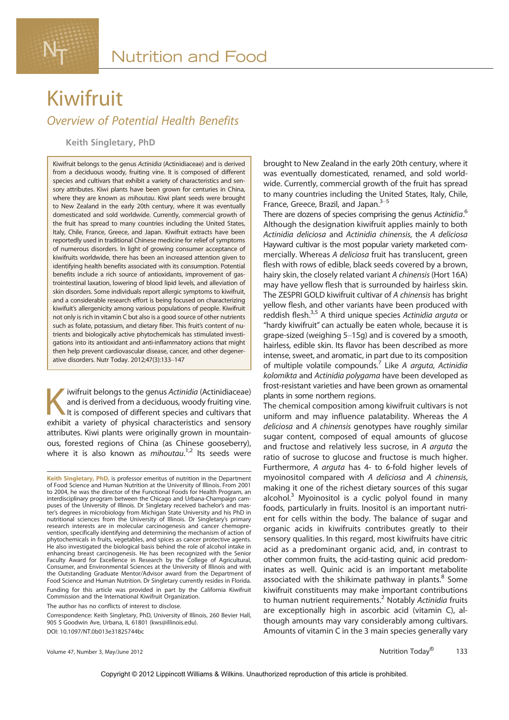

# Kiwifruit Overview of Potential Health Benefits

Keith Singletary, PhD

Kiwifruit belongs to the genus Actinidia (Actinidiaceae) and is derived from a deciduous woody, fruiting vine. It is composed of different species and cultivars that exhibit a variety of characteristics and sensory attributes. Kiwi plants have been grown for centuries in China, where they are known as mihoutau. Kiwi plant seeds were brought to New Zealand in the early 20th century, where it was eventually domesticated and sold worldwide. Currently, commercial growth of the fruit has spread to many countries including the United States, Italy, Chile, France, Greece, and Japan. Kiwifruit extracts have been reportedly used in traditional Chinese medicine for relief of symptoms of numerous disorders. In light of growing consumer acceptance of kiwifruits worldwide, there has been an increased attention given to identifying health benefits associated with its consumption. Potential benefits include a rich source of antioxidants, improvement of gastrointestinal laxation, lowering of blood lipid levels, and alleviation of skin disorders. Some individuals report allergic symptoms to kiwifruit, and a considerable research effort is being focused on characterizing kiwifuit's allergenicity among various populations of people. Kiwifruit not only is rich in vitamin C but also is a good source of other nutrients such as folate, potassium, and dietary fiber. This fruit's content of nutrients and biologically active phytochemicals has stimulated investigations into its antioxidant and anti-inflammatory actions that might then help prevent cardiovascular disease, cancer, and other degenerative disorders. Nutr Today. 2012;47(3):133-147

iwifruit belongs to the genus Actinidia (Actinidiaceae) and is derived from a deciduous, woody fruiting vine. It is composed of different species and cultivars that exhibit a variety of physical characteristics and sensory attributes. Kiwi plants were originally grown in mountainous, forested regions of China (as Chinese gooseberry), where it is also known as *mihoutau*.<sup>1,2</sup> Its seeds were

Keith Singletary, PhD, is professor emeritus of nutrition in the Department of Food Science and Human Nutrition at the University of Illinois. From 2001 to 2004, he was the director of the Functional Foods for Health Program, an interdisciplinary program between the Chicago and Urbana-Champaign campuses of the University of Illinois. Dr Singletary received bachelor's and master's degrees in microbiology from Michigan State University and his PhD in nutritional sciences from the University of Illinois. Dr Singletary's primary research interests are in molecular carcinogenesis and cancer chemoprevention, specifically identifying and determining the mechanism of action of phytochemicals in fruits, vegetables, and spices as cancer protective agents. He also investigated the biological basis behind the role of alcohol intake in enhancing breast carcinogenesis. He has been recognized with the Senior Faculty Award for Excellence in Research by the College of Agricultural, Consumer, and Environmental Sciences at the University of Illinois and with the Outstanding Graduate Mentor/Advisor award from the Department of Food Science and Human Nutrition. Dr Singletary currently resides in Florida.

Funding for this article was provided in part by the California Kiwifruit Commission and the International Kiwifruit Organization.

The author has no conflicts of interest to disclose.

Correspondence: Keith Singletary, PhD, University of Illinois, 260 Bevier Hall, 905 S Goodwin Ave, Urbana, IL 61801 (kws@illinois.edu).

DOI: 10.1097/NT.0b013e31825744bc

brought to New Zealand in the early 20th century, where it was eventually domesticated, renamed, and sold worldwide. Currently, commercial growth of the fruit has spread to many countries including the United States, Italy, Chile, France, Greece, Brazil, and Japan.<sup>3-5</sup>

There are dozens of species comprising the genus Actinidia.<sup>6</sup> Although the designation kiwifruit applies mainly to both Actinidia deliciosa and Actinidia chinensis, the A deliciosa Hayward cultivar is the most popular variety marketed commercially. Whereas A deliciosa fruit has translucent, green flesh with rows of edible, black seeds covered by a brown, hairy skin, the closely related variant A chinensis (Hort 16A) may have yellow flesh that is surrounded by hairless skin. The ZESPRI GOLD kiwifruit cultivar of A chinensis has bright yellow flesh, and other variants have been produced with reddish flesh.3,5 A third unique species Actinidia arguta or ''hardy kiwifruit'' can actually be eaten whole, because it is grape-sized (weighing 5-15g) and is covered by a smooth, hairless, edible skin. Its flavor has been described as more intense, sweet, and aromatic, in part due to its composition of multiple volatile compounds.<sup>7</sup> Like A arguta, Actinidia kolomikta and Actinidia polygama have been developed as frost-resistant varieties and have been grown as ornamental plants in some northern regions.

The chemical composition among kiwifruit cultivars is not uniform and may influence palatability. Whereas the A deliciosa and A chinensis genotypes have roughly similar sugar content, composed of equal amounts of glucose and fructose and relatively less sucrose, in A arguta the ratio of sucrose to glucose and fructose is much higher. Furthermore, A arguta has 4- to 6-fold higher levels of myoinositol compared with A deliciosa and A chinensis, making it one of the richest dietary sources of this sugar alcohol. $3$  Myoinositol is a cyclic polyol found in many foods, particularly in fruits. Inositol is an important nutrient for cells within the body. The balance of sugar and organic acids in kiwifruits contributes greatly to their sensory qualities. In this regard, most kiwifruits have citric acid as a predominant organic acid, and, in contrast to other common fruits, the acid-tasting quinic acid predominates as well. Quinic acid is an important metabolite associated with the shikimate pathway in plants.<sup>8</sup> Some kiwifruit constituents may make important contributions to human nutrient requirements.<sup>2</sup> Notably Actinidia fruits are exceptionally high in ascorbic acid (vitamin C), although amounts may vary considerably among cultivars. Amounts of vitamin C in the 3 main species generally vary

Volume 47, Number 3, May/June 2012 Nutrition Today<sup>®</sup>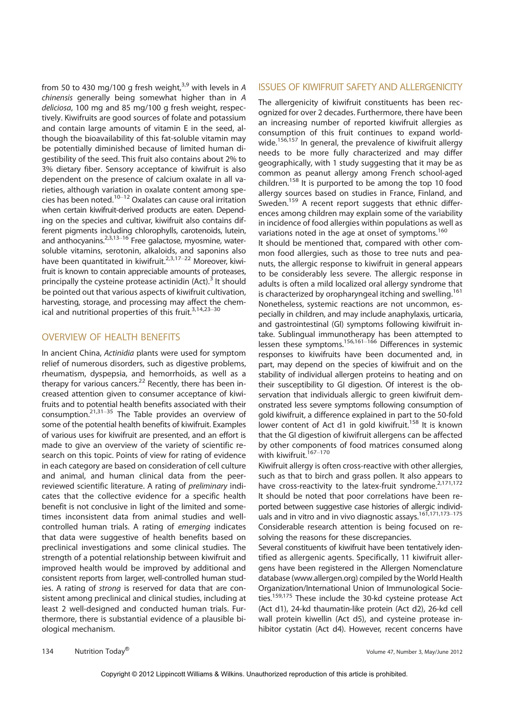from 50 to 430 mg/100 g fresh weight, $3.9$  with levels in A chinensis generally being somewhat higher than in A deliciosa, 100 mg and 85 mg/100 g fresh weight, respectively. Kiwifruits are good sources of folate and potassium and contain large amounts of vitamin E in the seed, although the bioavailability of this fat-soluble vitamin may be potentially diminished because of limited human digestibility of the seed. This fruit also contains about 2% to 3% dietary fiber. Sensory acceptance of kiwifruit is also dependent on the presence of calcium oxalate in all varieties, although variation in oxalate content among species has been noted.<sup>10-12</sup> Oxalates can cause oral irritation when certain kiwifruit-derived products are eaten. Depending on the species and cultivar, kiwifruit also contains different pigments including chlorophylls, carotenoids, lutein, Free it pigments increasing concreptly  $\ldots$ ,  $\ldots$ soluble vitamins, serotonin, alkaloids, and saponins also have been quantitated in kiwifruit.<sup>2,3,17-22</sup> Moreover, kiwifruit is known to contain appreciable amounts of proteases, principally the cysteine protease actinidin (Act).<sup>3</sup> It should be pointed out that various aspects of kiwifruit cultivation, harvesting, storage, and processing may affect the chemical and nutritional properties of this fruit.<sup>3,14,23-30</sup>

## OVERVIEW OF HEALTH BENEFITS

In ancient China, Actinidia plants were used for symptom relief of numerous disorders, such as digestive problems, rheumatism, dyspepsia, and hemorrhoids, as well as a therapy for various cancers.<sup>22</sup> Recently, there has been increased attention given to consumer acceptance of kiwifruits and to potential health benefits associated with their consumption.<sup>21,31-35</sup> The Table provides an overview of some of the potential health benefits of kiwifruit. Examples of various uses for kiwifruit are presented, and an effort is made to give an overview of the variety of scientific research on this topic. Points of view for rating of evidence in each category are based on consideration of cell culture and animal, and human clinical data from the peerreviewed scientific literature. A rating of preliminary indicates that the collective evidence for a specific health benefit is not conclusive in light of the limited and sometimes inconsistent data from animal studies and wellcontrolled human trials. A rating of emerging indicates that data were suggestive of health benefits based on preclinical investigations and some clinical studies. The strength of a potential relationship between kiwifruit and improved health would be improved by additional and consistent reports from larger, well-controlled human studies. A rating of strong is reserved for data that are consistent among preclinical and clinical studies, including at least 2 well-designed and conducted human trials. Furthermore, there is substantial evidence of a plausible biological mechanism.

## ISSUES OF KIWIFRUIT SAFETY AND ALLERGENICITY

The allergenicity of kiwifruit constituents has been recognized for over 2 decades. Furthermore, there have been an increasing number of reported kiwifruit allergies as consumption of this fruit continues to expand worldwide.<sup>156,157</sup> In general, the prevalence of kiwifruit allergy needs to be more fully characterized and may differ geographically, with 1 study suggesting that it may be as common as peanut allergy among French school-aged children.<sup>158</sup> It is purported to be among the top 10 food allergy sources based on studies in France, Finland, and Sweden.<sup>159</sup> A recent report suggests that ethnic differences among children may explain some of the variability in incidence of food allergies within populations as well as variations noted in the age at onset of symptoms.<sup>160</sup>

It should be mentioned that, compared with other common food allergies, such as those to tree nuts and peanuts, the allergic response to kiwifruit in general appears to be considerably less severe. The allergic response in adults is often a mild localized oral allergy syndrome that is characterized by oropharyngeal itching and swelling.<sup>161</sup> Nonetheless, systemic reactions are not uncommon, especially in children, and may include anaphylaxis, urticaria, and gastrointestinal (GI) symptoms following kiwifruit intake. Sublingual immunotherapy has been attempted to lessen these symptoms.<sup>156,161-166</sup> Differences in systemic responses to kiwifruits have been documented and, in part, may depend on the species of kiwifruit and on the stability of individual allergen proteins to heating and on their susceptibility to GI digestion. Of interest is the observation that individuals allergic to green kiwifruit demonstrated less severe symptoms following consumption of gold kiwifruit, a difference explained in part to the 50-fold lower content of Act d1 in gold kiwifruit.<sup>158</sup> It is known that the GI digestion of kiwifruit allergens can be affected by other components of food matrices consumed along with kiwifruit. $167-170$ 

Kiwifruit allergy is often cross-reactive with other allergies, such as that to birch and grass pollen. It also appears to have cross-reactivity to the latex-fruit syndrome.<sup>2,171,172</sup> It should be noted that poor correlations have been reported between suggestive case histories of allergic individuals and in vitro and in vivo diagnostic assays.<sup>161,171,173–175</sup> Considerable research attention is being focused on resolving the reasons for these discrepancies.

Several constituents of kiwifruit have been tentatively identified as allergenic agents. Specifically, 11 kiwifruit allergens have been registered in the Allergen Nomenclature database (www.allergen.org) compiled by the World Health Organization/International Union of Immunological Societies.<sup>159,175</sup> These include the 30-kd cysteine protease Act (Act d1), 24-kd thaumatin-like protein (Act d2), 26-kd cell wall protein kiwellin (Act d5), and cysteine protease inhibitor cystatin (Act d4). However, recent concerns have

### 134 Nutrition Today<sup>®</sup>

Volume 47, Number 3, May/June 2012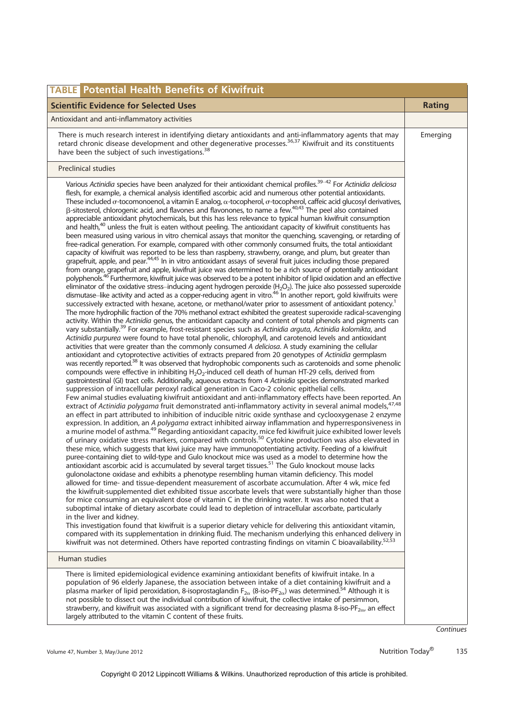| <b>TABLE</b> Potential Health Benefits of Kiwifruit                                                                                                                                                                                                                                                                                                                                                                                                                                                                                                                                                                                                                                                                                                                                                                                                                                                                                                                                                                                                                                                                                                                                                                                                                                                                                                                                                                                                                                                                                                                                                                                                                                                                                                                                                                                                                                                                                                                                                                                                                                                                                                                                                                                                                                                                                                                                                                                                                                                                                                                                                                                                                                                                                                                                                                                                                                                                                                                                                                                                                                                                                                                                                                                                                                                                                                                                                                                                                                                                                                                                                                                                                                                                                                                                                                                                                                                                                                                                                                                                                                                                                                                                                                                                                                                                                                                                                                                                                                                                                                                                                                                                                                                                                                                                                                                                                                                                                                                                                                                           |               |
|-----------------------------------------------------------------------------------------------------------------------------------------------------------------------------------------------------------------------------------------------------------------------------------------------------------------------------------------------------------------------------------------------------------------------------------------------------------------------------------------------------------------------------------------------------------------------------------------------------------------------------------------------------------------------------------------------------------------------------------------------------------------------------------------------------------------------------------------------------------------------------------------------------------------------------------------------------------------------------------------------------------------------------------------------------------------------------------------------------------------------------------------------------------------------------------------------------------------------------------------------------------------------------------------------------------------------------------------------------------------------------------------------------------------------------------------------------------------------------------------------------------------------------------------------------------------------------------------------------------------------------------------------------------------------------------------------------------------------------------------------------------------------------------------------------------------------------------------------------------------------------------------------------------------------------------------------------------------------------------------------------------------------------------------------------------------------------------------------------------------------------------------------------------------------------------------------------------------------------------------------------------------------------------------------------------------------------------------------------------------------------------------------------------------------------------------------------------------------------------------------------------------------------------------------------------------------------------------------------------------------------------------------------------------------------------------------------------------------------------------------------------------------------------------------------------------------------------------------------------------------------------------------------------------------------------------------------------------------------------------------------------------------------------------------------------------------------------------------------------------------------------------------------------------------------------------------------------------------------------------------------------------------------------------------------------------------------------------------------------------------------------------------------------------------------------------------------------------------------------------------------------------------------------------------------------------------------------------------------------------------------------------------------------------------------------------------------------------------------------------------------------------------------------------------------------------------------------------------------------------------------------------------------------------------------------------------------------------------------------------------------------------------------------------------------------------------------------------------------------------------------------------------------------------------------------------------------------------------------------------------------------------------------------------------------------------------------------------------------------------------------------------------------------------------------------------------------------------------------------------------------------------------------------------------------------------------------------------------------------------------------------------------------------------------------------------------------------------------------------------------------------------------------------------------------------------------------------------------------------------------------------------------------------------------------------------------------------------------------------------------------------------------------------------------|---------------|
| <b>Scientific Evidence for Selected Uses</b>                                                                                                                                                                                                                                                                                                                                                                                                                                                                                                                                                                                                                                                                                                                                                                                                                                                                                                                                                                                                                                                                                                                                                                                                                                                                                                                                                                                                                                                                                                                                                                                                                                                                                                                                                                                                                                                                                                                                                                                                                                                                                                                                                                                                                                                                                                                                                                                                                                                                                                                                                                                                                                                                                                                                                                                                                                                                                                                                                                                                                                                                                                                                                                                                                                                                                                                                                                                                                                                                                                                                                                                                                                                                                                                                                                                                                                                                                                                                                                                                                                                                                                                                                                                                                                                                                                                                                                                                                                                                                                                                                                                                                                                                                                                                                                                                                                                                                                                                                                                                  | <b>Rating</b> |
| Antioxidant and anti-inflammatory activities                                                                                                                                                                                                                                                                                                                                                                                                                                                                                                                                                                                                                                                                                                                                                                                                                                                                                                                                                                                                                                                                                                                                                                                                                                                                                                                                                                                                                                                                                                                                                                                                                                                                                                                                                                                                                                                                                                                                                                                                                                                                                                                                                                                                                                                                                                                                                                                                                                                                                                                                                                                                                                                                                                                                                                                                                                                                                                                                                                                                                                                                                                                                                                                                                                                                                                                                                                                                                                                                                                                                                                                                                                                                                                                                                                                                                                                                                                                                                                                                                                                                                                                                                                                                                                                                                                                                                                                                                                                                                                                                                                                                                                                                                                                                                                                                                                                                                                                                                                                                  |               |
| There is much research interest in identifying dietary antioxidants and anti-inflammatory agents that may<br>retard chronic disease development and other degenerative processes. <sup>36,37</sup> Kiwifruit and its constituents<br>have been the subject of such investigations. <sup>38</sup>                                                                                                                                                                                                                                                                                                                                                                                                                                                                                                                                                                                                                                                                                                                                                                                                                                                                                                                                                                                                                                                                                                                                                                                                                                                                                                                                                                                                                                                                                                                                                                                                                                                                                                                                                                                                                                                                                                                                                                                                                                                                                                                                                                                                                                                                                                                                                                                                                                                                                                                                                                                                                                                                                                                                                                                                                                                                                                                                                                                                                                                                                                                                                                                                                                                                                                                                                                                                                                                                                                                                                                                                                                                                                                                                                                                                                                                                                                                                                                                                                                                                                                                                                                                                                                                                                                                                                                                                                                                                                                                                                                                                                                                                                                                                              | Emerging      |
| <b>Preclinical studies</b>                                                                                                                                                                                                                                                                                                                                                                                                                                                                                                                                                                                                                                                                                                                                                                                                                                                                                                                                                                                                                                                                                                                                                                                                                                                                                                                                                                                                                                                                                                                                                                                                                                                                                                                                                                                                                                                                                                                                                                                                                                                                                                                                                                                                                                                                                                                                                                                                                                                                                                                                                                                                                                                                                                                                                                                                                                                                                                                                                                                                                                                                                                                                                                                                                                                                                                                                                                                                                                                                                                                                                                                                                                                                                                                                                                                                                                                                                                                                                                                                                                                                                                                                                                                                                                                                                                                                                                                                                                                                                                                                                                                                                                                                                                                                                                                                                                                                                                                                                                                                                    |               |
| Various Actinidia species have been analyzed for their antioxidant chemical profiles. <sup>39–42</sup> For Actinidia deliciosa<br>flesh, for example, a chemical analysis identified ascorbic acid and numerous other potential antioxidants.<br>These included $\sigma$ -tocomonoenol, a vitamin E analog, $\alpha$ -tocopherol, $\sigma$ -tocopherol, caffeic acid glucosyl derivatives,<br>β-sitosterol, chlorogenic acid, and flavones and flavonones, to name a few. <sup>40,43</sup> The peel also contained<br>appreciable antioxidant phytochemicals, but this has less relevance to typical human kiwifruit consumption<br>and health, <sup>40</sup> unless the fruit is eaten without peeling. The antioxidant capacity of kiwifruit constituents has<br>been measured using various in vitro chemical assays that monitor the quenching, scavenging, or retarding of<br>free-radical generation. For example, compared with other commonly consumed fruits, the total antioxidant<br>capacity of kiwifruit was reported to be less than raspberry, strawberry, orange, and plum, but greater than<br>grapefruit, apple, and pear. <sup>4445</sup> In in vitro antioxidant assays of several fruit juices including those prepared<br>from orange, grapefruit and apple, kiwifruit juice was determined to be a rich source of potentially antioxidant<br>polyphenols. <sup>46</sup> Furthermore, kiwifruit juice was observed to be a potent inhibitor of lipid oxidation and an effective<br>eliminator of the oxidative stress-inducing agent hydrogen peroxide ( $H_2O_2$ ). The juice also possessed superoxide<br>dismutase–like activity and acted as a copper-reducing agent in vitro. <sup>46</sup> In another report, gold kiwifruits were<br>successively extracted with hexane, acetone, or methanol/water prior to assessment of antioxidant potency. <sup>1</sup><br>The more hydrophilic fraction of the 70% methanol extract exhibited the greatest superoxide radical-scavenging<br>activity. Within the Actinidia genus, the antioxidant capacity and content of total phenols and pigments can<br>vary substantially. <sup>39</sup> For example, frost-resistant species such as Actinidia arguta, Actinidia kolomikta, and<br>Actinidia purpurea were found to have total phenolic, chlorophyll, and carotenoid levels and antioxidant<br>activities that were greater than the commonly consumed $A$ deliciosa. A study examining the cellular<br>antioxidant and cytoprotective activities of extracts prepared from 20 genotypes of Actinidia germplasm<br>was recently reported. <sup>38</sup> It was observed that hydrophobic components such as carotenoids and some phenolic<br>compounds were effective in inhibiting $H_2O_2$ -induced cell death of human HT-29 cells, derived from<br>gastrointestinal (GI) tract cells. Additionally, aqueous extracts from 4 Actinidia species demonstrated marked<br>suppression of intracellular peroxyl radical generation in Caco-2 colonic epithelial cells.<br>Few animal studies evaluating kiwifruit antioxidant and anti-inflammatory effects have been reported. An<br>extract of Actinidia polygama fruit demonstrated anti-inflammatory activity in several animal models, <sup>47,48</sup><br>an effect in part attributed to inhibition of inducible nitric oxide synthase and cyclooxygenase 2 enzyme<br>expression. In addition, an A polygama extract inhibited airway inflammation and hyperresponsiveness in<br>a murine model of asthma. <sup>49</sup> Regarding antioxidant capacity, mice fed kiwifruit juice exhibited lower levels<br>of urinary oxidative stress markers, compared with controls. <sup>50</sup> Cytokine production was also elevated in<br>these mice, which suggests that kiwi juice may have immunopotentiating activity. Feeding of a kiwifruit<br>puree-containing diet to wild-type and Gulo knockout mice was used as a model to determine how the<br>antioxidant ascorbic acid is accumulated by several target tissues. <sup>51</sup> The Gulo knockout mouse lacks<br>gulonolactone oxidase and exhibits a phenotype resembling human vitamin deficiency. This model<br>allowed for time- and tissue-dependent measurement of ascorbate accumulation. After 4 wk, mice fed<br>the kiwifruit-supplemented diet exhibited tissue ascorbate levels that were substantially higher than those<br>for mice consuming an equivalent dose of vitamin C in the drinking water. It was also noted that a<br>suboptimal intake of dietary ascorbate could lead to depletion of intracellular ascorbate, particularly<br>in the liver and kidney.<br>This investigation found that kiwifruit is a superior dietary vehicle for delivering this antioxidant vitamin,<br>compared with its supplementation in drinking fluid. The mechanism underlying this enhanced delivery in<br>kiwifruit was not determined. Others have reported contrasting findings on vitamin C bioavailability. <sup>52,53</sup><br>Human studies |               |
| There is limited epidemiological evidence examining antioxidant benefits of kiwifruit intake. In a<br>population of 96 elderly Japanese, the association between intake of a diet containing kiwifruit and a                                                                                                                                                                                                                                                                                                                                                                                                                                                                                                                                                                                                                                                                                                                                                                                                                                                                                                                                                                                                                                                                                                                                                                                                                                                                                                                                                                                                                                                                                                                                                                                                                                                                                                                                                                                                                                                                                                                                                                                                                                                                                                                                                                                                                                                                                                                                                                                                                                                                                                                                                                                                                                                                                                                                                                                                                                                                                                                                                                                                                                                                                                                                                                                                                                                                                                                                                                                                                                                                                                                                                                                                                                                                                                                                                                                                                                                                                                                                                                                                                                                                                                                                                                                                                                                                                                                                                                                                                                                                                                                                                                                                                                                                                                                                                                                                                                  |               |
| plasma marker of lipid peroxidation, 8-isoprostaglandin $F_{2\alpha}$ (8-iso-PF <sub>2<math>\alpha</math></sub> ) was determined. <sup>54</sup> Although it is<br>not possible to dissect out the individual contribution of kiwifruit, the collective intake of persimmon,<br>strawberry, and kiwifruit was associated with a significant trend for decreasing plasma 8-iso-PF <sub>2ov</sub> an effect<br>largely attributed to the vitamin C content of these fruits.                                                                                                                                                                                                                                                                                                                                                                                                                                                                                                                                                                                                                                                                                                                                                                                                                                                                                                                                                                                                                                                                                                                                                                                                                                                                                                                                                                                                                                                                                                                                                                                                                                                                                                                                                                                                                                                                                                                                                                                                                                                                                                                                                                                                                                                                                                                                                                                                                                                                                                                                                                                                                                                                                                                                                                                                                                                                                                                                                                                                                                                                                                                                                                                                                                                                                                                                                                                                                                                                                                                                                                                                                                                                                                                                                                                                                                                                                                                                                                                                                                                                                                                                                                                                                                                                                                                                                                                                                                                                                                                                                                      |               |

Volume 47, Number 3, May/June 2012  $\sim$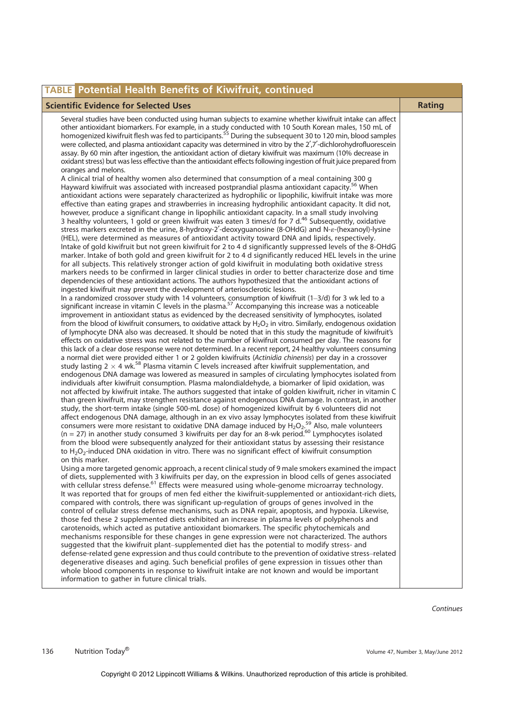| <b>TABLE</b> Potential Health Benefits of Kiwifruit, continued                                                                                                                                                                                                                                                                                                                                                                                                                                                                                                                                                                                                                                                                                                                                                                                                                                                                                                                                                                                                                                                                                                                                                                                                                                                                                                                                                                                                                                                                                                                                                                                                                                                                                                                                                                                                                                                                                                                                                                                                                                                                                                                                                                                                                                                                                                                                                                                                                                                                                                                                                                                                                                                                                                                                                                                                                                                                                                                                                                                                                                                                                                                                                                                                                                                                                                                                                                                                                                                                                                                                                                                                                                                                                                                                                                                                                                                                                                                                                                                                                                                                                                                                                                                                                                                                                                                                                                                                                                                                                                                                                                                                                                                                                                                                                                                                                                                                                                                                                                                                                                                                                                                                                                                                                                                                                                                                                                                                                                                                                                                                                                                                                                                                                                                                                                                                                                      |               |
|-----------------------------------------------------------------------------------------------------------------------------------------------------------------------------------------------------------------------------------------------------------------------------------------------------------------------------------------------------------------------------------------------------------------------------------------------------------------------------------------------------------------------------------------------------------------------------------------------------------------------------------------------------------------------------------------------------------------------------------------------------------------------------------------------------------------------------------------------------------------------------------------------------------------------------------------------------------------------------------------------------------------------------------------------------------------------------------------------------------------------------------------------------------------------------------------------------------------------------------------------------------------------------------------------------------------------------------------------------------------------------------------------------------------------------------------------------------------------------------------------------------------------------------------------------------------------------------------------------------------------------------------------------------------------------------------------------------------------------------------------------------------------------------------------------------------------------------------------------------------------------------------------------------------------------------------------------------------------------------------------------------------------------------------------------------------------------------------------------------------------------------------------------------------------------------------------------------------------------------------------------------------------------------------------------------------------------------------------------------------------------------------------------------------------------------------------------------------------------------------------------------------------------------------------------------------------------------------------------------------------------------------------------------------------------------------------------------------------------------------------------------------------------------------------------------------------------------------------------------------------------------------------------------------------------------------------------------------------------------------------------------------------------------------------------------------------------------------------------------------------------------------------------------------------------------------------------------------------------------------------------------------------------------------------------------------------------------------------------------------------------------------------------------------------------------------------------------------------------------------------------------------------------------------------------------------------------------------------------------------------------------------------------------------------------------------------------------------------------------------------------------------------------------------------------------------------------------------------------------------------------------------------------------------------------------------------------------------------------------------------------------------------------------------------------------------------------------------------------------------------------------------------------------------------------------------------------------------------------------------------------------------------------------------------------------------------------------------------------------------------------------------------------------------------------------------------------------------------------------------------------------------------------------------------------------------------------------------------------------------------------------------------------------------------------------------------------------------------------------------------------------------------------------------------------------------------------------------------------------------------------------------------------------------------------------------------------------------------------------------------------------------------------------------------------------------------------------------------------------------------------------------------------------------------------------------------------------------------------------------------------------------------------------------------------------------------------------------------------------------------------------------------------------------------------------------------------------------------------------------------------------------------------------------------------------------------------------------------------------------------------------------------------------------------------------------------------------------------------------------------------------------------------------------------------------------------------------------------------------------------------------------------------|---------------|
| <b>Scientific Evidence for Selected Uses</b>                                                                                                                                                                                                                                                                                                                                                                                                                                                                                                                                                                                                                                                                                                                                                                                                                                                                                                                                                                                                                                                                                                                                                                                                                                                                                                                                                                                                                                                                                                                                                                                                                                                                                                                                                                                                                                                                                                                                                                                                                                                                                                                                                                                                                                                                                                                                                                                                                                                                                                                                                                                                                                                                                                                                                                                                                                                                                                                                                                                                                                                                                                                                                                                                                                                                                                                                                                                                                                                                                                                                                                                                                                                                                                                                                                                                                                                                                                                                                                                                                                                                                                                                                                                                                                                                                                                                                                                                                                                                                                                                                                                                                                                                                                                                                                                                                                                                                                                                                                                                                                                                                                                                                                                                                                                                                                                                                                                                                                                                                                                                                                                                                                                                                                                                                                                                                                                        | <b>Rating</b> |
| Several studies have been conducted using human subjects to examine whether kiwifruit intake can affect<br>other antioxidant biomarkers. For example, in a study conducted with 10 South Korean males, 150 mL of<br>homogenized kiwifruit flesh was fed to participants. <sup>55</sup> During the subsequent 30 to 120 min, blood samples<br>were collected, and plasma antioxidant capacity was determined in vitro by the $2^{\prime}$ ,7'-dichlorohydrofluorescein<br>assay. By 60 min after ingestion, the antioxidant action of dietary kiwifruit was maximum (10% decrease in<br>oxidant stress) but was less effective than the antioxidant effects following ingestion of fruit juice prepared from<br>oranges and melons.<br>A clinical trial of healthy women also determined that consumption of a meal containing 300 g<br>Hayward kiwifruit was associated with increased postprandial plasma antioxidant capacity. <sup>56</sup> When<br>antioxidant actions were separately characterized as hydrophilic or lipophilic, kiwifruit intake was more<br>effective than eating grapes and strawberries in increasing hydrophilic antioxidant capacity. It did not,<br>however, produce a significant change in lipophilic antioxidant capacity. In a small study involving<br>3 healthy volunteers, 1 gold or green kiwifruit was eaten 3 times/d for 7 d. <sup>46</sup> Subsequently, oxidative<br>stress markers excreted in the urine, 8-hydroxy-2'-deoxyguanosine (8-OHdG) and N- $\varepsilon$ -(hexanoyl)-lysine<br>(HEL), were determined as measures of antioxidant activity toward DNA and lipids, respectively.<br>Intake of gold kiwifruit but not green kiwifruit for 2 to 4 d significantly suppressed levels of the 8-OHdG<br>marker. Intake of both gold and green kiwifruit for 2 to 4 d significantly reduced HEL levels in the urine<br>for all subjects. This relatively stronger action of gold kiwifruit in modulating both oxidative stress<br>markers needs to be confirmed in larger clinical studies in order to better characterize dose and time<br>dependencies of these antioxidant actions. The authors hypothesized that the antioxidant actions of<br>ingested kiwifruit may prevent the development of arteriosclerotic lesions.<br>In a randomized crossover study with 14 volunteers, consumption of kiwifruit (1-3/d) for 3 wk led to a<br>significant increase in vitamin $C$ levels in the plasma. <sup>57</sup> Accompanying this increase was a noticeable<br>improvement in antioxidant status as evidenced by the decreased sensitivity of lymphocytes, isolated<br>from the blood of kiwifruit consumers, to oxidative attack by $H_2O_2$ in vitro. Similarly, endogenous oxidation<br>of lymphocyte DNA also was decreased. It should be noted that in this study the magnitude of kiwifruit's<br>effects on oxidative stress was not related to the number of kiwifruit consumed per day. The reasons for<br>this lack of a clear dose response were not determined. In a recent report, 24 healthy volunteers consuming<br>a normal diet were provided either 1 or 2 golden kiwifruits (Actinidia chinensis) per day in a crossover<br>study lasting 2 $\times$ 4 wk. <sup>58</sup> Plasma vitamin C levels increased after kiwifruit supplementation, and<br>endogenous DNA damage was lowered as measured in samples of circulating lymphocytes isolated from<br>individuals after kiwifruit consumption. Plasma malondialdehyde, a biomarker of lipid oxidation, was<br>not affected by kiwifruit intake. The authors suggested that intake of golden kiwifruit, richer in vitamin C<br>than green kiwifruit, may strengthen resistance against endogenous DNA damage. In contrast, in another<br>study, the short-term intake (single 500-mL dose) of homogenized kiwifruit by 6 volunteers did not<br>affect endogenous DNA damage, although in an ex vivo assay lymphocytes isolated from these kiwifruit consumers were more resistant to oxidative DNA damage induced by $H_2O_2$ <sup>59</sup> Also, male volunteers<br>$(n = 27)$ in another study consumed 3 kiwifruits per day for an 8-wk period. <sup>60</sup> Lymphocytes isolated<br>from the blood were subsequently analyzed for their antioxidant status by assessing their resistance<br>to H <sub>2</sub> O <sub>2</sub> -induced DNA oxidation in vitro. There was no significant effect of kiwifruit consumption<br>on this marker.<br>Using a more targeted genomic approach, a recent clinical study of 9 male smokers examined the impact<br>of diets, supplemented with 3 kiwifruits per day, on the expression in blood cells of genes associated<br>with cellular stress defense. <sup>61</sup> Effects were measured using whole-genome microarray technology.<br>It was reported that for groups of men fed either the kiwifruit-supplemented or antioxidant-rich diets,<br>compared with controls, there was significant up-regulation of groups of genes involved in the<br>control of cellular stress defense mechanisms, such as DNA repair, apoptosis, and hypoxia. Likewise,<br>those fed these 2 supplemented diets exhibited an increase in plasma levels of polyphenols and<br>carotenoids, which acted as putative antioxidant biomarkers. The specific phytochemicals and<br>mechanisms responsible for these changes in gene expression were not characterized. The authors<br>suggested that the kiwifruit plant-supplemented diet has the potential to modify stress- and<br>defense-related gene expression and thus could contribute to the prevention of oxidative stress-related<br>degenerative diseases and aging. Such beneficial profiles of gene expression in tissues other than<br>whole blood components in response to kiwifruit intake are not known and would be important<br>information to gather in future clinical trials. |               |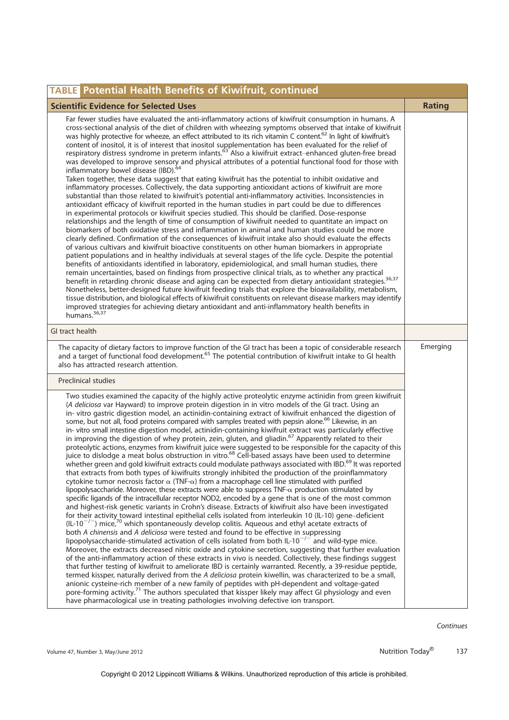| TABLE Potential Health Benefits of Kiwifruit, continued                                                                                                                                                                                                                                                                                                                                                                                                                                                                                                                                                                                                                                                                                                                                                                                                                                                                                                                                                                                                                                                                                                                                                                                                                                                                                                                                                                                                                                                                                                                                                                                                                                                                                                                                                                                                                                                                                                                                                                                                                                                                                                                                                                                                                                                                                                                                                                                                                                                                                                                                                                                                                                                                                                                                                                                                                                                                                                                                                                                                                                                                       |          |
|-------------------------------------------------------------------------------------------------------------------------------------------------------------------------------------------------------------------------------------------------------------------------------------------------------------------------------------------------------------------------------------------------------------------------------------------------------------------------------------------------------------------------------------------------------------------------------------------------------------------------------------------------------------------------------------------------------------------------------------------------------------------------------------------------------------------------------------------------------------------------------------------------------------------------------------------------------------------------------------------------------------------------------------------------------------------------------------------------------------------------------------------------------------------------------------------------------------------------------------------------------------------------------------------------------------------------------------------------------------------------------------------------------------------------------------------------------------------------------------------------------------------------------------------------------------------------------------------------------------------------------------------------------------------------------------------------------------------------------------------------------------------------------------------------------------------------------------------------------------------------------------------------------------------------------------------------------------------------------------------------------------------------------------------------------------------------------------------------------------------------------------------------------------------------------------------------------------------------------------------------------------------------------------------------------------------------------------------------------------------------------------------------------------------------------------------------------------------------------------------------------------------------------------------------------------------------------------------------------------------------------------------------------------------------------------------------------------------------------------------------------------------------------------------------------------------------------------------------------------------------------------------------------------------------------------------------------------------------------------------------------------------------------------------------------------------------------------------------------------------------------|----------|
| <b>Scientific Evidence for Selected Uses</b>                                                                                                                                                                                                                                                                                                                                                                                                                                                                                                                                                                                                                                                                                                                                                                                                                                                                                                                                                                                                                                                                                                                                                                                                                                                                                                                                                                                                                                                                                                                                                                                                                                                                                                                                                                                                                                                                                                                                                                                                                                                                                                                                                                                                                                                                                                                                                                                                                                                                                                                                                                                                                                                                                                                                                                                                                                                                                                                                                                                                                                                                                  | Rating   |
| Far fewer studies have evaluated the anti-inflammatory actions of kiwifruit consumption in humans. A<br>cross-sectional analysis of the diet of children with wheezing symptoms observed that intake of kiwifruit<br>was highly protective for wheeze, an effect attributed to its rich vitamin C content. <sup>62</sup> In light of kiwifruit's<br>content of inositol, it is of interest that inositol supplementation has been evaluated for the relief of<br>respiratory distress syndrome in preterm infants. <sup>63</sup> Also a kiwifruit extract–enhanced gluten-free bread<br>was developed to improve sensory and physical attributes of a potential functional food for those with<br>inflammatory bowel disease (IBD). <sup>64</sup><br>Taken together, these data suggest that eating kiwifruit has the potential to inhibit oxidative and<br>inflammatory processes. Collectively, the data supporting antioxidant actions of kiwifruit are more<br>substantial than those related to kiwifruit's potential anti-inflammatory activities. Inconsistencies in<br>antioxidant efficacy of kiwifruit reported in the human studies in part could be due to differences<br>in experimental protocols or kiwifruit species studied. This should be clarified. Dose-response<br>relationships and the length of time of consumption of kiwifruit needed to quantitate an impact on<br>biomarkers of both oxidative stress and inflammation in animal and human studies could be more<br>clearly defined. Confirmation of the consequences of kiwifruit intake also should evaluate the effects<br>of various cultivars and kiwifruit bioactive constituents on other human biomarkers in appropriate<br>patient populations and in healthy individuals at several stages of the life cycle. Despite the potential<br>benefits of antioxidants identified in laboratory, epidemiological, and small human studies, there<br>remain uncertainties, based on findings from prospective clinical trials, as to whether any practical<br>benefit in retarding chronic disease and aging can be expected from dietary antioxidant strategies. <sup>36,37</sup><br>Nonetheless, better-designed future kiwifruit feeding trials that explore the bioavailability, metabolism,<br>tissue distribution, and biological effects of kiwifruit constituents on relevant disease markers may identify<br>improved strategies for achieving dietary antioxidant and anti-inflammatory health benefits in<br>humans. <sup>36,37</sup>                                                                                                                                                                                                                                                                                                                                                                                                                                                                                                                                                                                               |          |
| GI tract health                                                                                                                                                                                                                                                                                                                                                                                                                                                                                                                                                                                                                                                                                                                                                                                                                                                                                                                                                                                                                                                                                                                                                                                                                                                                                                                                                                                                                                                                                                                                                                                                                                                                                                                                                                                                                                                                                                                                                                                                                                                                                                                                                                                                                                                                                                                                                                                                                                                                                                                                                                                                                                                                                                                                                                                                                                                                                                                                                                                                                                                                                                               |          |
| The capacity of dietary factors to improve function of the GI tract has been a topic of considerable research<br>and a target of functional food development. <sup>65</sup> The potential contribution of kiwifruit intake to GI health<br>also has attracted research attention.<br>Preclinical studies<br>Two studies examined the capacity of the highly active proteolytic enzyme actinidin from green kiwifruit<br>(A deliciosa var Hayward) to improve protein digestion in in vitro models of the GI tract. Using an<br>in- vitro gastric digestion model, an actinidin-containing extract of kiwifruit enhanced the digestion of<br>some, but not all, food proteins compared with samples treated with pepsin alone. <sup>66</sup> Likewise, in an<br>in- vitro small intestine digestion model, actinidin-containing kiwifruit extract was particularly effective<br>in improving the digestion of whey protein, zein, gluten, and gliadin. <sup>67</sup> Apparently related to their<br>proteolytic actions, enzymes from kiwifruit juice were suggested to be responsible for the capacity of this<br>juice to dislodge a meat bolus obstruction in vitro. <sup>68</sup> Cell-based assays have been used to determine<br>whether green and gold kiwifruit extracts could modulate pathways associated with IBD. <sup>69</sup> It was reported<br>that extracts from both types of kiwifruits strongly inhibited the production of the proinflammatory<br>cytokine tumor necrosis factor $\alpha$ (TNF- $\alpha$ ) from a macrophage cell line stimulated with purified<br>lipopolysaccharide. Moreover, these extracts were able to suppress $TNF-\alpha$ production stimulated by<br>specific ligands of the intracellular receptor NOD2, encoded by a gene that is one of the most common<br>and highest-risk genetic variants in Crohn's disease. Extracts of kiwifruit also have been investigated<br>for their activity toward intestinal epithelial cells isolated from interleukin 10 (IL-10) gene-deficient<br>$(II-10^{-/-})$ mice, <sup>70</sup> which spontaneously develop colitis. Aqueous and ethyl acetate extracts of<br>both A chinensis and A deliciosa were tested and found to be effective in suppressing<br>lipopolysaccharide-stimulated activation of cells isolated from both IL-10 <sup>-/-</sup> and wild-type mice.<br>Moreover, the extracts decreased nitric oxide and cytokine secretion, suggesting that further evaluation<br>of the anti-inflammatory action of these extracts in vivo is needed. Collectively, these findings suggest<br>that further testing of kiwifruit to ameliorate IBD is certainly warranted. Recently, a 39-residue peptide,<br>termed kissper, naturally derived from the A deliciosa protein kiwellin, was characterized to be a small,<br>anionic cysteine-rich member of a new family of peptides with pH-dependent and voltage-gated<br>pore-forming activity. <sup>71</sup> The authors speculated that kissper likely may affect GI physiology and even<br>have pharmacological use in treating pathologies involving defective ion transport. | Emerging |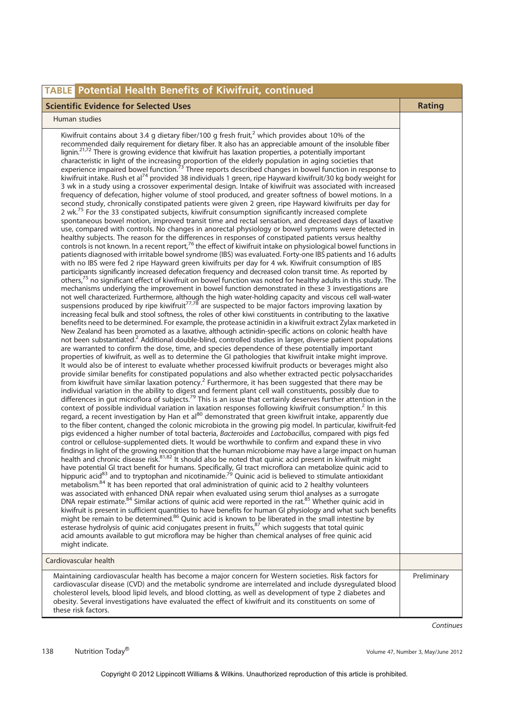| <b>TABLE</b> Potential Health Benefits of Kiwifruit, continued                                                                                                                                                                                                                                                                                                                                                                                                                                                                                                                                                                                                                                                                                                                                                                                                                                                                                                                                                                                                                                                                                                                                                                                                                                                                                                                                                                                                                                                                                                                                                                                                                                                                                                                                                                                                                                                                                                                                                                                                                                                                                                                                                                                                                                                                                                                                                                                                                                                                                                                                                                                                                                                                                                                                                                                                                                                                                                                                                                                                                                                                                                                                                                                                                                                                                                                                                                                                                                                                                                                                                                                                                                                                                                                                                                                                                                                                                                                                                                                                                                                                                                                                                                                                                                                                                                                                                                                                                                                                                                                                                                                                                                                                                                                                                                                                                                                                                                                                                                                                                                                                                                                                                                                                                                                                                                                                                                                                                                                                                                                                                                  |               |
|---------------------------------------------------------------------------------------------------------------------------------------------------------------------------------------------------------------------------------------------------------------------------------------------------------------------------------------------------------------------------------------------------------------------------------------------------------------------------------------------------------------------------------------------------------------------------------------------------------------------------------------------------------------------------------------------------------------------------------------------------------------------------------------------------------------------------------------------------------------------------------------------------------------------------------------------------------------------------------------------------------------------------------------------------------------------------------------------------------------------------------------------------------------------------------------------------------------------------------------------------------------------------------------------------------------------------------------------------------------------------------------------------------------------------------------------------------------------------------------------------------------------------------------------------------------------------------------------------------------------------------------------------------------------------------------------------------------------------------------------------------------------------------------------------------------------------------------------------------------------------------------------------------------------------------------------------------------------------------------------------------------------------------------------------------------------------------------------------------------------------------------------------------------------------------------------------------------------------------------------------------------------------------------------------------------------------------------------------------------------------------------------------------------------------------------------------------------------------------------------------------------------------------------------------------------------------------------------------------------------------------------------------------------------------------------------------------------------------------------------------------------------------------------------------------------------------------------------------------------------------------------------------------------------------------------------------------------------------------------------------------------------------------------------------------------------------------------------------------------------------------------------------------------------------------------------------------------------------------------------------------------------------------------------------------------------------------------------------------------------------------------------------------------------------------------------------------------------------------------------------------------------------------------------------------------------------------------------------------------------------------------------------------------------------------------------------------------------------------------------------------------------------------------------------------------------------------------------------------------------------------------------------------------------------------------------------------------------------------------------------------------------------------------------------------------------------------------------------------------------------------------------------------------------------------------------------------------------------------------------------------------------------------------------------------------------------------------------------------------------------------------------------------------------------------------------------------------------------------------------------------------------------------------------------------------------------------------------------------------------------------------------------------------------------------------------------------------------------------------------------------------------------------------------------------------------------------------------------------------------------------------------------------------------------------------------------------------------------------------------------------------------------------------------------------------------------------------------------------------------------------------------------------------------------------------------------------------------------------------------------------------------------------------------------------------------------------------------------------------------------------------------------------------------------------------------------------------------------------------------------------------------------------------------------------------------------------------------------------------------------------|---------------|
| <b>Scientific Evidence for Selected Uses</b>                                                                                                                                                                                                                                                                                                                                                                                                                                                                                                                                                                                                                                                                                                                                                                                                                                                                                                                                                                                                                                                                                                                                                                                                                                                                                                                                                                                                                                                                                                                                                                                                                                                                                                                                                                                                                                                                                                                                                                                                                                                                                                                                                                                                                                                                                                                                                                                                                                                                                                                                                                                                                                                                                                                                                                                                                                                                                                                                                                                                                                                                                                                                                                                                                                                                                                                                                                                                                                                                                                                                                                                                                                                                                                                                                                                                                                                                                                                                                                                                                                                                                                                                                                                                                                                                                                                                                                                                                                                                                                                                                                                                                                                                                                                                                                                                                                                                                                                                                                                                                                                                                                                                                                                                                                                                                                                                                                                                                                                                                                                                                                                    | <b>Rating</b> |
| Human studies                                                                                                                                                                                                                                                                                                                                                                                                                                                                                                                                                                                                                                                                                                                                                                                                                                                                                                                                                                                                                                                                                                                                                                                                                                                                                                                                                                                                                                                                                                                                                                                                                                                                                                                                                                                                                                                                                                                                                                                                                                                                                                                                                                                                                                                                                                                                                                                                                                                                                                                                                                                                                                                                                                                                                                                                                                                                                                                                                                                                                                                                                                                                                                                                                                                                                                                                                                                                                                                                                                                                                                                                                                                                                                                                                                                                                                                                                                                                                                                                                                                                                                                                                                                                                                                                                                                                                                                                                                                                                                                                                                                                                                                                                                                                                                                                                                                                                                                                                                                                                                                                                                                                                                                                                                                                                                                                                                                                                                                                                                                                                                                                                   |               |
| Kiwifruit contains about 3.4 g dietary fiber/100 g fresh fruit, <sup>2</sup> which provides about 10% of the<br>recommended daily requirement for dietary fiber. It also has an appreciable amount of the insoluble fiber<br>lignin. <sup>21,72</sup> There is growing evidence that kiwifruit has laxation properties, a potentially important<br>characteristic in light of the increasing proportion of the elderly population in aging societies that<br>experience impaired bowel function. <sup>73</sup> Three reports described changes in bowel function in response to<br>kiwifruit intake. Rush et al <sup>74</sup> provided 38 individuals 1 green, ripe Hayward kiwifruit/30 kg body weight for<br>3 wk in a study using a crossover experimental design. Intake of kiwifruit was associated with increased<br>frequency of defecation, higher volume of stool produced, and greater softness of bowel motions. In a<br>second study, chronically constipated patients were given 2 green, ripe Hayward kiwifruits per day for<br>2 wk. <sup>75</sup> For the 33 constipated subjects, kiwifruit consumption significantly increased complete<br>spontaneous bowel motion, improved transit time and rectal sensation, and decreased days of laxative<br>use, compared with controls. No changes in anorectal physiology or bowel symptoms were detected in<br>healthy subjects. The reason for the differences in responses of constipated patients versus healthy<br>controls is not known. In a recent report, <sup>76</sup> the effect of kiwifruit intake on physiological bowel functions in<br>patients diagnosed with irritable bowel syndrome (IBS) was evaluated. Forty-one IBS patients and 16 adults<br>with no IBS were fed 2 ripe Hayward green kiwifruits per day for 4 wk. Kiwifruit consumption of IBS<br>participants significantly increased defecation frequency and decreased colon transit time. As reported by<br>others, <sup>75</sup> no significant effect of kiwifruit on bowel function was noted for healthy adults in this study. The<br>mechanisms underlying the improvement in bowel function demonstrated in these 3 investigations are<br>not well characterized. Furthermore, although the high water-holding capacity and viscous cell wall-water<br>suspensions produced by ripe kiwifruit <sup>77,78</sup> are suspected to be major factors improving laxation by<br>increasing fecal bulk and stool softness, the roles of other kiwi constituents in contributing to the laxative<br>benefits need to be determined. For example, the protease actinidin in a kiwifruit extract Zylax marketed in<br>New Zealand has been promoted as a laxative, although actinidin-specific actions on colonic health have<br>not been substantiated. <sup>2</sup> Additional double-blind, controlled studies in larger, diverse patient populations<br>are warranted to confirm the dose, time, and species dependence of these potentially important<br>properties of kiwifruit, as well as to determine the GI pathologies that kiwifruit intake might improve.<br>It would also be of interest to evaluate whether processed kiwifruit products or beverages might also<br>provide similar benefits for constipated populations and also whether extracted pectic polysaccharides<br>from kiwifruit have similar laxation potency. <sup>2</sup> Furthermore, it has been suggested that there may be<br>individual variation in the ability to digest and ferment plant cell wall constituents, possibly due to<br>differences in gut microflora of subjects. <sup>79</sup> This is an issue that certainly deserves further attention in the<br>context of possible individual variation in laxation responses following kiwifruit consumption. <sup>2</sup> In this<br>regard, a recent investigation by Han et al <sup>80</sup> demonstrated that green kiwifruit intake, apparently due<br>to the fiber content, changed the colonic microbiota in the growing pig model. In particular, kiwifruit-fed<br>pigs evidenced a higher number of total bacteria, Bacteroides and Lactobacillus, compared with pigs fed<br>control or cellulose-supplemented diets. It would be worthwhile to confirm and expand these in vivo<br>findings in light of the growing recognition that the human microbiome may have a large impact on human<br>health and chronic disease risk. <sup>81,82</sup> It should also be noted that quinic acid present in kiwifruit might<br>have potential GI tract benefit for humans. Specifically, GI tract microflora can metabolize quinic acid to<br>hippuric acid <sup>83</sup> and to tryptophan and nicotinamide. <sup>79</sup> Quinic acid is believed to stimulate antioxidant<br>metabolism. <sup>84</sup> It has been reported that oral administration of quinic acid to 2 healthy volunteers<br>was associated with enhanced DNA repair when evaluated using serum thiol analyses as a surrogate<br>DNA repair estimate. <sup>84</sup> Similar actions of quinic acid were reported in the rat. <sup>85</sup> Whether quinic acid in<br>kiwifruit is present in sufficient quantities to have benefits for human GI physiology and what such benefits<br>might be remain to be determined. <sup>86</sup> Quinic acid is known to be liberated in the small intestine by<br>esterase hydrolysis of quinic acid conjugates present in fruits, <sup>87</sup> which suggests that total quinic<br>acid amounts available to gut microflora may be higher than chemical analyses of free quinic acid<br>might indicate.<br>Cardiovascular health |               |
| Maintaining cardiovascular health has become a major concern for Western societies. Risk factors for                                                                                                                                                                                                                                                                                                                                                                                                                                                                                                                                                                                                                                                                                                                                                                                                                                                                                                                                                                                                                                                                                                                                                                                                                                                                                                                                                                                                                                                                                                                                                                                                                                                                                                                                                                                                                                                                                                                                                                                                                                                                                                                                                                                                                                                                                                                                                                                                                                                                                                                                                                                                                                                                                                                                                                                                                                                                                                                                                                                                                                                                                                                                                                                                                                                                                                                                                                                                                                                                                                                                                                                                                                                                                                                                                                                                                                                                                                                                                                                                                                                                                                                                                                                                                                                                                                                                                                                                                                                                                                                                                                                                                                                                                                                                                                                                                                                                                                                                                                                                                                                                                                                                                                                                                                                                                                                                                                                                                                                                                                                            | Preliminary   |
| cardiovascular disease (CVD) and the metabolic syndrome are interrelated and include dysregulated blood<br>cholesterol levels, blood lipid levels, and blood clotting, as well as development of type 2 diabetes and<br>obesity. Several investigations have evaluated the effect of kiwifruit and its constituents on some of<br>these risk factors.                                                                                                                                                                                                                                                                                                                                                                                                                                                                                                                                                                                                                                                                                                                                                                                                                                                                                                                                                                                                                                                                                                                                                                                                                                                                                                                                                                                                                                                                                                                                                                                                                                                                                                                                                                                                                                                                                                                                                                                                                                                                                                                                                                                                                                                                                                                                                                                                                                                                                                                                                                                                                                                                                                                                                                                                                                                                                                                                                                                                                                                                                                                                                                                                                                                                                                                                                                                                                                                                                                                                                                                                                                                                                                                                                                                                                                                                                                                                                                                                                                                                                                                                                                                                                                                                                                                                                                                                                                                                                                                                                                                                                                                                                                                                                                                                                                                                                                                                                                                                                                                                                                                                                                                                                                                                           |               |

138 Nutrition Today<sup>®</sup>

Volume 47, Number 3, May/June 2012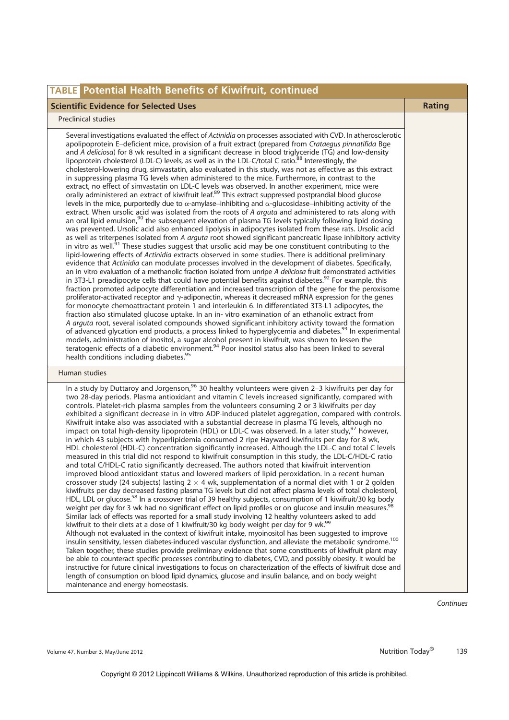| <b>TABLE</b> Potential Health Benefits of Kiwifruit, continued                                                                                                                                                                                                                                                                                                                                                                                                                                                                                                                                                                                                                                                                                                                                                                                                                                                                                                                                                                                                                                                                                                                                                                                                                                                                                                                                                                                                                                                                                                                                                                                                                                                                                                                                                                                                                                                                                                                                                                                                                                                                                                                                                                                                                                                                                                                                                                                                                                                                                                                                                                                                                                                                                                                                                                                                                                                                                                                                                              |               |
|-----------------------------------------------------------------------------------------------------------------------------------------------------------------------------------------------------------------------------------------------------------------------------------------------------------------------------------------------------------------------------------------------------------------------------------------------------------------------------------------------------------------------------------------------------------------------------------------------------------------------------------------------------------------------------------------------------------------------------------------------------------------------------------------------------------------------------------------------------------------------------------------------------------------------------------------------------------------------------------------------------------------------------------------------------------------------------------------------------------------------------------------------------------------------------------------------------------------------------------------------------------------------------------------------------------------------------------------------------------------------------------------------------------------------------------------------------------------------------------------------------------------------------------------------------------------------------------------------------------------------------------------------------------------------------------------------------------------------------------------------------------------------------------------------------------------------------------------------------------------------------------------------------------------------------------------------------------------------------------------------------------------------------------------------------------------------------------------------------------------------------------------------------------------------------------------------------------------------------------------------------------------------------------------------------------------------------------------------------------------------------------------------------------------------------------------------------------------------------------------------------------------------------------------------------------------------------------------------------------------------------------------------------------------------------------------------------------------------------------------------------------------------------------------------------------------------------------------------------------------------------------------------------------------------------------------------------------------------------------------------------------------------------|---------------|
| <b>Scientific Evidence for Selected Uses</b>                                                                                                                                                                                                                                                                                                                                                                                                                                                                                                                                                                                                                                                                                                                                                                                                                                                                                                                                                                                                                                                                                                                                                                                                                                                                                                                                                                                                                                                                                                                                                                                                                                                                                                                                                                                                                                                                                                                                                                                                                                                                                                                                                                                                                                                                                                                                                                                                                                                                                                                                                                                                                                                                                                                                                                                                                                                                                                                                                                                | <b>Rating</b> |
| <b>Preclinical studies</b>                                                                                                                                                                                                                                                                                                                                                                                                                                                                                                                                                                                                                                                                                                                                                                                                                                                                                                                                                                                                                                                                                                                                                                                                                                                                                                                                                                                                                                                                                                                                                                                                                                                                                                                                                                                                                                                                                                                                                                                                                                                                                                                                                                                                                                                                                                                                                                                                                                                                                                                                                                                                                                                                                                                                                                                                                                                                                                                                                                                                  |               |
| Several investigations evaluated the effect of Actinidia on processes associated with CVD. In atherosclerotic<br>apolipoprotein E-deficient mice, provision of a fruit extract (prepared from Crataegus pinnatifida Bge<br>and A deliciosa) for 8 wk resulted in a significant decrease in blood triglyceride (TG) and low-density<br>lipoprotein cholesterol (LDL-C) levels, as well as in the LDL-C/total C ratio. <sup>88</sup> Interestingly, the<br>cholesterol-lowering drug, simvastatin, also evaluated in this study, was not as effective as this extract<br>in suppressing plasma TG levels when administered to the mice. Furthermore, in contrast to the<br>extract, no effect of simvastatin on LDL-C levels was observed. In another experiment, mice were<br>orally administered an extract of kiwifruit leaf. <sup>89</sup> This extract suppressed postprandial blood glucose<br>levels in the mice, purportedly due to $\alpha$ -amylase-inhibiting and $\alpha$ -glucosidase-inhibiting activity of the<br>extract. When ursolic acid was isolated from the roots of A arguta and administered to rats along with<br>an oral lipid emulsion, <sup>90</sup> the subsequent elevation of plasma TG levels typically following lipid dosing<br>was prevented. Ursolic acid also enhanced lipolysis in adipocytes isolated from these rats. Ursolic acid<br>as well as triterpenes isolated from A arguta root showed significant pancreatic lipase inhibitory activity<br>in vitro as well. <sup>91</sup> These studies suggest that ursolic acid may be one constituent contributing to the<br>lipid-lowering effects of Actinidia extracts observed in some studies. There is additional preliminary<br>evidence that Actinidia can modulate processes involved in the development of diabetes. Specifically,<br>an in vitro evaluation of a methanolic fraction isolated from unripe A deliciosa fruit demonstrated activities<br>in 3T3-L1 preadipocyte cells that could have potential benefits against diabetes. <sup>92</sup> For example, this<br>fraction promoted adipocyte differentiation and increased transcription of the gene for the peroxisome<br>proliferator-activated receptor and $\gamma$ -adiponectin, whereas it decreased mRNA expression for the genes<br>for monocyte chemoattractant protein 1 and interleukin 6. In differentiated 3T3-L1 adipocytes, the<br>fraction also stimulated glucose uptake. In an in-vitro examination of an ethanolic extract from<br>A arguta root, several isolated compounds showed significant inhibitory activity toward the formation<br>of advanced glycation end products, a process linked to hyperglycemia and diabetes. <sup>93</sup> In experimental<br>models, administration of inositol, a sugar alcohol present in kiwifruit, was shown to lessen the<br>teratogenic effects of a diabetic environment. <sup>94</sup> Poor inositol status also has been linked to several<br>health conditions including diabetes. <sup>95</sup> |               |
| Human studies                                                                                                                                                                                                                                                                                                                                                                                                                                                                                                                                                                                                                                                                                                                                                                                                                                                                                                                                                                                                                                                                                                                                                                                                                                                                                                                                                                                                                                                                                                                                                                                                                                                                                                                                                                                                                                                                                                                                                                                                                                                                                                                                                                                                                                                                                                                                                                                                                                                                                                                                                                                                                                                                                                                                                                                                                                                                                                                                                                                                               |               |
| In a study by Duttaroy and Jorgenson, <sup>96</sup> 30 healthy volunteers were given 2-3 kiwifruits per day for<br>two 28-day periods. Plasma antioxidant and vitamin C levels increased significantly, compared with<br>controls. Platelet-rich plasma samples from the volunteers consuming 2 or 3 kiwifruits per day<br>exhibited a significant decrease in in vitro ADP-induced platelet aggregation, compared with controls.<br>Kiwifruit intake also was associated with a substantial decrease in plasma TG levels, although no<br>impact on total high-density lipoprotein (HDL) or LDL-C was observed. In a later study, <sup>97</sup> however,<br>in which 43 subjects with hyperlipidemia consumed 2 ripe Hayward kiwifruits per day for 8 wk,<br>HDL cholesterol (HDL-C) concentration significantly increased. Although the LDL-C and total C levels<br>measured in this trial did not respond to kiwifruit consumption in this study, the LDL-C/HDL-C ratio<br>and total C/HDL-C ratio significantly decreased. The authors noted that kiwifruit intervention<br>improved blood antioxidant status and lowered markers of lipid peroxidation. In a recent human<br>crossover study (24 subjects) lasting $2 \times 4$ wk, supplementation of a normal diet with 1 or 2 golden<br>kiwifruits per day decreased fasting plasma TG levels but did not affect plasma levels of total cholesterol,<br>HDL, LDL or glucose. <sup>58</sup> In a crossover trial of 39 healthy subjects, consumption of 1 kiwifruit/30 kg body<br>weight per day for 3 wk had no significant effect on lipid profiles or on glucose and insulin measures. <sup>98</sup><br>Similar lack of effects was reported for a small study involving 12 healthy volunteers asked to add<br>kiwifruit to their diets at a dose of 1 kiwifruit/30 kg body weight per day for 9 wk. <sup>99</sup><br>Although not evaluated in the context of kiwifruit intake, myoinositol has been suggested to improve<br>insulin sensitivity, lessen diabetes-induced vascular dysfunction, and alleviate the metabolic syndrome. <sup>100</sup><br>Taken together, these studies provide preliminary evidence that some constituents of kiwifruit plant may<br>be able to counteract specific processes contributing to diabetes, CVD, and possibly obesity. It would be<br>instructive for future clinical investigations to focus on characterization of the effects of kiwifruit dose and<br>length of consumption on blood lipid dynamics, glucose and insulin balance, and on body weight<br>maintenance and energy homeostasis.                                                                                                                                                                                                                                                                                                                                                                                                                        |               |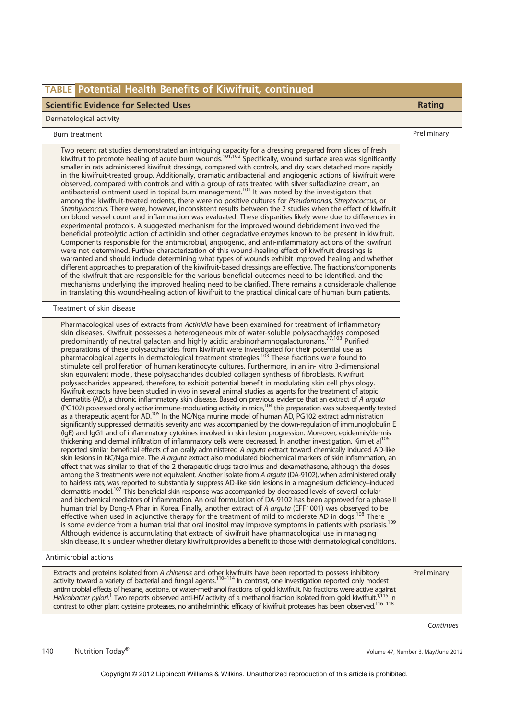| <b>TABLE</b> Potential Health Benefits of Kiwifruit, continued                                                                                                                                                                                                                                                                                                                                                                                                                                                                                                                                                                                                                                                                                                                                                                                                                                                                                                                                                                                                                                                                                                                                                                                                                                                                                                                                                                                                                                                                                                                                                                                                                                                                                                                                                                                                                                                                                                                                                                                                                                                                                                                                                                                                                                                                                                                                                                                                                                                                                                                                                                                                                                                                                                                                                                                                                                                                                                                                                                                                                                                                       |               |
|--------------------------------------------------------------------------------------------------------------------------------------------------------------------------------------------------------------------------------------------------------------------------------------------------------------------------------------------------------------------------------------------------------------------------------------------------------------------------------------------------------------------------------------------------------------------------------------------------------------------------------------------------------------------------------------------------------------------------------------------------------------------------------------------------------------------------------------------------------------------------------------------------------------------------------------------------------------------------------------------------------------------------------------------------------------------------------------------------------------------------------------------------------------------------------------------------------------------------------------------------------------------------------------------------------------------------------------------------------------------------------------------------------------------------------------------------------------------------------------------------------------------------------------------------------------------------------------------------------------------------------------------------------------------------------------------------------------------------------------------------------------------------------------------------------------------------------------------------------------------------------------------------------------------------------------------------------------------------------------------------------------------------------------------------------------------------------------------------------------------------------------------------------------------------------------------------------------------------------------------------------------------------------------------------------------------------------------------------------------------------------------------------------------------------------------------------------------------------------------------------------------------------------------------------------------------------------------------------------------------------------------------------------------------------------------------------------------------------------------------------------------------------------------------------------------------------------------------------------------------------------------------------------------------------------------------------------------------------------------------------------------------------------------------------------------------------------------------------------------------------------------|---------------|
| <b>Scientific Evidence for Selected Uses</b>                                                                                                                                                                                                                                                                                                                                                                                                                                                                                                                                                                                                                                                                                                                                                                                                                                                                                                                                                                                                                                                                                                                                                                                                                                                                                                                                                                                                                                                                                                                                                                                                                                                                                                                                                                                                                                                                                                                                                                                                                                                                                                                                                                                                                                                                                                                                                                                                                                                                                                                                                                                                                                                                                                                                                                                                                                                                                                                                                                                                                                                                                         | <b>Rating</b> |
| Dermatological activity                                                                                                                                                                                                                                                                                                                                                                                                                                                                                                                                                                                                                                                                                                                                                                                                                                                                                                                                                                                                                                                                                                                                                                                                                                                                                                                                                                                                                                                                                                                                                                                                                                                                                                                                                                                                                                                                                                                                                                                                                                                                                                                                                                                                                                                                                                                                                                                                                                                                                                                                                                                                                                                                                                                                                                                                                                                                                                                                                                                                                                                                                                              |               |
| Burn treatment                                                                                                                                                                                                                                                                                                                                                                                                                                                                                                                                                                                                                                                                                                                                                                                                                                                                                                                                                                                                                                                                                                                                                                                                                                                                                                                                                                                                                                                                                                                                                                                                                                                                                                                                                                                                                                                                                                                                                                                                                                                                                                                                                                                                                                                                                                                                                                                                                                                                                                                                                                                                                                                                                                                                                                                                                                                                                                                                                                                                                                                                                                                       | Preliminary   |
| Two recent rat studies demonstrated an intriguing capacity for a dressing prepared from slices of fresh kiwifruit to promote healing of acute burn wounds. <sup>107,102</sup> Specifically, wound surface area was significantly<br>smaller in rats administered kiwifruit dressings, compared with controls, and dry scars detached more rapidly<br>in the kiwifruit-treated group. Additionally, dramatic antibacterial and angiogenic actions of kiwifruit were<br>observed, compared with controls and with a group of rats treated with silver sulfadiazine cream, an<br>antibacterial ointment used in topical burn management. <sup>101</sup> It was noted by the investigators that<br>among the kiwifruit-treated rodents, there were no positive cultures for Pseudomonas, Streptococcus, or<br>Staphylococcus. There were, however, inconsistent results between the 2 studies when the effect of kiwifruit<br>on blood vessel count and inflammation was evaluated. These disparities likely were due to differences in<br>experimental protocols. A suggested mechanism for the improved wound debridement involved the<br>beneficial proteolytic action of actinidin and other degradative enzymes known to be present in kiwifruit.<br>Components responsible for the antimicrobial, angiogenic, and anti-inflammatory actions of the kiwifruit<br>were not determined. Further characterization of this wound-healing effect of kiwifruit dressings is<br>warranted and should include determining what types of wounds exhibit improved healing and whether<br>different approaches to preparation of the kiwifruit-based dressings are effective. The fractions/components<br>of the kiwifruit that are responsible for the various beneficial outcomes need to be identified, and the<br>mechanisms underlying the improved healing need to be clarified. There remains a considerable challenge<br>in translating this wound-healing action of kiwifruit to the practical clinical care of human burn patients.                                                                                                                                                                                                                                                                                                                                                                                                                                                                                                                                                                                                                                                                                                                                                                                                                                                                                                                                                                                                                                                                                                  |               |
| Treatment of skin disease                                                                                                                                                                                                                                                                                                                                                                                                                                                                                                                                                                                                                                                                                                                                                                                                                                                                                                                                                                                                                                                                                                                                                                                                                                                                                                                                                                                                                                                                                                                                                                                                                                                                                                                                                                                                                                                                                                                                                                                                                                                                                                                                                                                                                                                                                                                                                                                                                                                                                                                                                                                                                                                                                                                                                                                                                                                                                                                                                                                                                                                                                                            |               |
| Pharmacological uses of extracts from Actinidia have been examined for treatment of inflammatory<br>skin diseases. Kiwifruit possesses a heterogeneous mix of water-soluble polysaccharides composed<br>predominantly of neutral galactan and highly acidic arabinorhamnogalacturonans. <sup>77,103</sup> Purified<br>preparations of these polysaccharides from kiwifruit were investigated for their potential use as<br>pharmacological agents in dermatological treatment strategies. <sup>103</sup> These fractions were found to<br>stimulate cell proliferation of human keratinocyte cultures. Furthermore, in an in- vitro 3-dimensional<br>skin equivalent model, these polysaccharides doubled collagen synthesis of fibroblasts. Kiwifruit<br>polysaccharides appeared, therefore, to exhibit potential benefit in modulating skin cell physiology.<br>Kiwifruit extracts have been studied in vivo in several animal studies as agents for the treatment of atopic<br>dermatitis (AD), a chronic inflammatory skin disease. Based on previous evidence that an extract of A arguta<br>(PG102) possessed orally active immune-modulating activity in mice, <sup>104</sup> this preparation was subsequently tested<br>as a therapeutic agent for AD. <sup>105</sup> In the NC/Nga murine model of human AD, PG102 extract administration<br>significantly suppressed dermatitis severity and was accompanied by the down-regulation of immunoglobulin E<br>(IgE) and IgG1 and of inflammatory cytokines involved in skin lesion progression. Moreover, epidermis/dermis<br>thickening and dermal infiltration of inflammatory cells were decreased. In another investigation, Kim et al <sup>106</sup><br>reported similar beneficial effects of an orally administered A arguta extract toward chemically induced AD-like<br>skin lesions in NC/Nga mice. The A arguta extract also modulated biochemical markers of skin inflammation, an<br>effect that was similar to that of the 2 therapeutic drugs tacrolimus and dexamethasone, although the doses<br>among the 3 treatments were not equivalent. Another isolate from A arguta (DA-9102), when administered orally<br>to hairless rats, was reported to substantially suppress AD-like skin lesions in a magnesium deficiency-induced<br>dermatitis model. <sup>107</sup> This beneficial skin response was accompanied by decreased levels of several cellular<br>and biochemical mediators of inflammation. An oral formulation of DA-9102 has been approved for a phase II<br>human trial by Dong-A Phar in Korea. Finally, another extract of A arguta (EFF1001) was observed to be<br>effective when used in adjunctive therapy for the treatment of mild to moderate AD in dogs. <sup>108</sup> There<br>is some evidence from a human trial that oral inositol may improve symptoms in patients with psoriasis. <sup>109</sup><br>Although evidence is accumulating that extracts of kiwifruit have pharmacological use in managing<br>skin disease, it is unclear whether dietary kiwifruit provides a benefit to those with dermatological conditions. |               |
| Antimicrobial actions                                                                                                                                                                                                                                                                                                                                                                                                                                                                                                                                                                                                                                                                                                                                                                                                                                                                                                                                                                                                                                                                                                                                                                                                                                                                                                                                                                                                                                                                                                                                                                                                                                                                                                                                                                                                                                                                                                                                                                                                                                                                                                                                                                                                                                                                                                                                                                                                                                                                                                                                                                                                                                                                                                                                                                                                                                                                                                                                                                                                                                                                                                                |               |
| Extracts and proteins isolated from A chinensis and other kiwifruits have been reported to possess inhibitory<br>activity toward a variety of bacterial and fungal agents. <sup>110-114</sup> In contrast, one investigation reported only modest<br>antimicrobial effects of hexane, acetone, or water-methanol fractions of gold kiwifruit. No fractions were active against<br>Helicobacter pylori. <sup>1</sup> Two reports observed anti-HIV activity of a methanol fraction isolated from gold kiwifruit. <sup>1,115</sup> In<br>contrast to other plant cysteine proteases, no antihelminthic efficacy of kiwifruit proteases has been observed. <sup>116-118</sup>                                                                                                                                                                                                                                                                                                                                                                                                                                                                                                                                                                                                                                                                                                                                                                                                                                                                                                                                                                                                                                                                                                                                                                                                                                                                                                                                                                                                                                                                                                                                                                                                                                                                                                                                                                                                                                                                                                                                                                                                                                                                                                                                                                                                                                                                                                                                                                                                                                                           | Preliminary   |

140 Nutrition Today<sup>®</sup>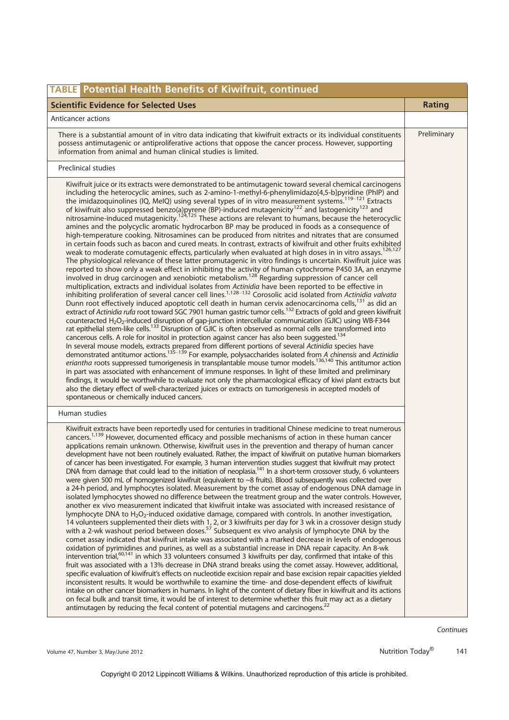| <b>TABLE</b> Potential Health Benefits of Kiwifruit, continued                                                                                                                                                                                                                                                                                                                                                                                                                                                                                                                                                                                                                                                                                                                                                                                                                                                                                                                                                                                                                                                                                                                                                                                                                                                                                                                                                                                                                                                                                                                                                                                                                                                                                                                                                                                                                                                                                                                                                                                                                                                                                                                                                                                                                                                                                                                                                                                                                                                                                                                                                                                                                                                                                                                                                                                                                                                                                                                                                   |               |
|------------------------------------------------------------------------------------------------------------------------------------------------------------------------------------------------------------------------------------------------------------------------------------------------------------------------------------------------------------------------------------------------------------------------------------------------------------------------------------------------------------------------------------------------------------------------------------------------------------------------------------------------------------------------------------------------------------------------------------------------------------------------------------------------------------------------------------------------------------------------------------------------------------------------------------------------------------------------------------------------------------------------------------------------------------------------------------------------------------------------------------------------------------------------------------------------------------------------------------------------------------------------------------------------------------------------------------------------------------------------------------------------------------------------------------------------------------------------------------------------------------------------------------------------------------------------------------------------------------------------------------------------------------------------------------------------------------------------------------------------------------------------------------------------------------------------------------------------------------------------------------------------------------------------------------------------------------------------------------------------------------------------------------------------------------------------------------------------------------------------------------------------------------------------------------------------------------------------------------------------------------------------------------------------------------------------------------------------------------------------------------------------------------------------------------------------------------------------------------------------------------------------------------------------------------------------------------------------------------------------------------------------------------------------------------------------------------------------------------------------------------------------------------------------------------------------------------------------------------------------------------------------------------------------------------------------------------------------------------------------------------------|---------------|
| <b>Scientific Evidence for Selected Uses</b>                                                                                                                                                                                                                                                                                                                                                                                                                                                                                                                                                                                                                                                                                                                                                                                                                                                                                                                                                                                                                                                                                                                                                                                                                                                                                                                                                                                                                                                                                                                                                                                                                                                                                                                                                                                                                                                                                                                                                                                                                                                                                                                                                                                                                                                                                                                                                                                                                                                                                                                                                                                                                                                                                                                                                                                                                                                                                                                                                                     | <b>Rating</b> |
| Anticancer actions                                                                                                                                                                                                                                                                                                                                                                                                                                                                                                                                                                                                                                                                                                                                                                                                                                                                                                                                                                                                                                                                                                                                                                                                                                                                                                                                                                                                                                                                                                                                                                                                                                                                                                                                                                                                                                                                                                                                                                                                                                                                                                                                                                                                                                                                                                                                                                                                                                                                                                                                                                                                                                                                                                                                                                                                                                                                                                                                                                                               |               |
| There is a substantial amount of in vitro data indicating that kiwifruit extracts or its individual constituents<br>possess antimutagenic or antiproliferative actions that oppose the cancer process. However, supporting<br>information from animal and human clinical studies is limited.                                                                                                                                                                                                                                                                                                                                                                                                                                                                                                                                                                                                                                                                                                                                                                                                                                                                                                                                                                                                                                                                                                                                                                                                                                                                                                                                                                                                                                                                                                                                                                                                                                                                                                                                                                                                                                                                                                                                                                                                                                                                                                                                                                                                                                                                                                                                                                                                                                                                                                                                                                                                                                                                                                                     | Preliminary   |
| Preclinical studies                                                                                                                                                                                                                                                                                                                                                                                                                                                                                                                                                                                                                                                                                                                                                                                                                                                                                                                                                                                                                                                                                                                                                                                                                                                                                                                                                                                                                                                                                                                                                                                                                                                                                                                                                                                                                                                                                                                                                                                                                                                                                                                                                                                                                                                                                                                                                                                                                                                                                                                                                                                                                                                                                                                                                                                                                                                                                                                                                                                              |               |
| Kiwifruit juice or its extracts were demonstrated to be antimutagenic toward several chemical carcinogens<br>including the heterocyclic amines, such as 2-amino-1-methyl-6-phenylimidazo[4,5-b]pyridine (PhIP) and<br>the imidazoquinolines (IQ, MeIQ) using several types of in vitro measurement systems. <sup>119-121</sup> Extracts<br>of kiwifruit also suppressed benzo(a)pyrene (BP)-induced mutagenicity <sup>122</sup> and lastogenicity <sup>123</sup> and<br>nitrosamine-induced mutagenicity. <sup>124,125</sup> These actions are relevant to humans, because the heterocyclic<br>amines and the polycyclic aromatic hydrocarbon BP may be produced in foods as a consequence of<br>high-temperature cooking. Nitrosamines can be produced from nitrites and nitrates that are consumed<br>in certain foods such as bacon and cured meats. In contrast, extracts of kiwifruit and other fruits exhibited<br>weak to moderate comutagenic effects, particularly when evaluated at high doses in in vitro assays. <sup>126,127</sup><br>The physiological relevance of these latter promutagenic in vitro findings is uncertain. Kiwifruit juice was<br>reported to show only a weak effect in inhibiting the activity of human cytochrome P450 3A, an enzyme<br>involved in drug carcinogen and xenobiotic metabolism. <sup>128</sup> Regarding suppression of cancer cell<br>multiplication, extracts and individual isolates from Actinidia have been reported to be effective in<br>inhibiting proliferation of several cancer cell lines. <sup>1,128-132</sup> Corosolic acid isolated from Actinidia valvata<br>Dunn root effectively induced apoptotic cell death in human cervix adenocarcinoma cells, <sup>131</sup> as did an<br>extract of Actinidia rufa root toward SGC 7901 human gastric tumor cells. <sup>132</sup> Extracts of gold and green kiwifruit<br>counteracted H <sub>2</sub> O <sub>2</sub> -induced disruption of gap-junction intercellular communication (GJIC) using WB-F344<br>rat epithelial stem-like cells. <sup>133</sup> Disruption of GJIC is often observed as normal cells are transformed into<br>cancerous cells. A role for inositol in protection against cancer has also been suggested. <sup>134</sup><br>In several mouse models, extracts prepared from different portions of several Actinidia species have<br>demonstrated antitumor actions. <sup>135–139</sup> For example, polysaccharides isolated from A chinensis and Actinidia<br>eriantha roots suppressed tumorigenesis in transplantable mouse tumor models. <sup>136,140</sup> This antitumor action<br>in part was associated with enhancement of immune responses. In light of these limited and preliminary<br>findings, it would be worthwhile to evaluate not only the pharmacological efficacy of kiwi plant extracts but<br>also the dietary effect of well-characterized juices or extracts on tumorigenesis in accepted models of<br>spontaneous or chemically induced cancers. |               |
| Human studies                                                                                                                                                                                                                                                                                                                                                                                                                                                                                                                                                                                                                                                                                                                                                                                                                                                                                                                                                                                                                                                                                                                                                                                                                                                                                                                                                                                                                                                                                                                                                                                                                                                                                                                                                                                                                                                                                                                                                                                                                                                                                                                                                                                                                                                                                                                                                                                                                                                                                                                                                                                                                                                                                                                                                                                                                                                                                                                                                                                                    |               |
| Kiwifruit extracts have been reportedly used for centuries in traditional Chinese medicine to treat numerous<br>cancers. <sup>1,139</sup> However, documented efficacy and possible mechanisms of action in these human cancer<br>applications remain unknown. Otherwise, kiwifruit uses in the prevention and therapy of human cancer<br>development have not been routinely evaluated. Rather, the impact of kiwifruit on putative human biomarkers<br>of cancer has been investigated. For example, 3 human intervention studies suggest that kiwifruit may protect<br>DNA from damage that could lead to the initiation of neoplasia. <sup>141</sup> In a short-term crossover study, 6 volunteers<br>were given 500 mL of homogenized kiwifruit (equivalent to ~8 fruits). Blood subsequently was collected over<br>a 24-h period, and lymphocytes isolated. Measurement by the comet assay of endogenous DNA damage in<br>isolated lymphocytes showed no difference between the treatment group and the water controls. However,<br>another ex vivo measurement indicated that kiwifruit intake was associated with increased resistance of<br>lymphocyte DNA to H <sub>2</sub> O <sub>2</sub> -induced oxidative damage, compared with controls. In another investigation,<br>14 volunteers supplemented their diets with 1, 2, or 3 kiwifruits per day for 3 wk in a crossover design study<br>with a 2-wk washout period between doses. <sup>57</sup> Subsequent ex vivo analysis of lymphocyte DNA by the<br>comet assay indicated that kiwifruit intake was associated with a marked decrease in levels of endogenous<br>oxidation of pyrimidines and purines, as well as a substantial increase in DNA repair capacity. An 8-wk<br>intervention trial, <sup>60,141</sup> in which 33 volunteers consumed 3 kiwifruits per day, confirmed that intake of this<br>fruit was associated with a 13% decrease in DNA strand breaks using the comet assay. However, additional,<br>specific evaluation of kiwifruit's effects on nucleotide excision repair and base excision repair capacities yielded<br>inconsistent results. It would be worthwhile to examine the time- and dose-dependent effects of kiwifruit<br>intake on other cancer biomarkers in humans. In light of the content of dietary fiber in kiwifruit and its actions<br>on fecal bulk and transit time, it would be of interest to determine whether this fruit may act as a dietary<br>antimutagen by reducing the fecal content of potential mutagens and carcinogens. <sup>22</sup>                                                                                                                                                                                                                                                                                                                                                                                                                                               |               |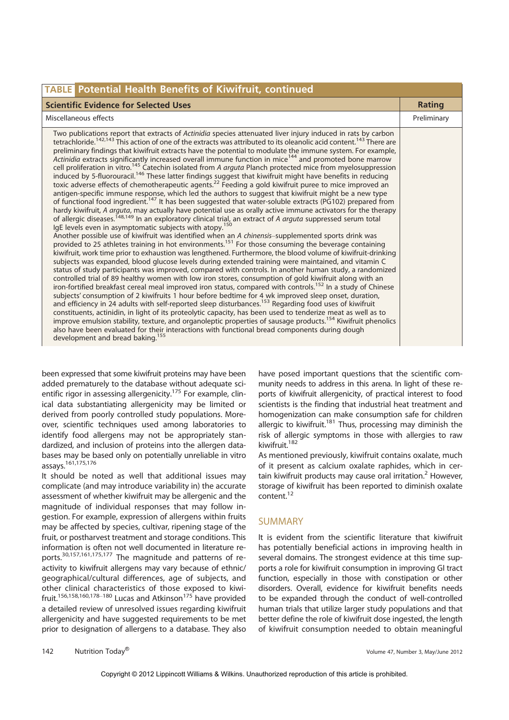| <b>TABLE</b> Potential Health Benefits of Kiwifruit, continued                                                                                                                                                                                                                                                                                                                                                                                                                                                                                                                                                                                                                                                                                                                                                                                                                                                                                                                                                                                                                                                                                                                                                                                                                                                                                                                                                                                                                                                                                                                                                                                                                                                                                                                                                                                                                                                                                                                                                                                                                                                                                                                                                                                                                                                                                                                                                                                                                                                                                                                                                                                                                                                                                                                                                                                                |               |
|---------------------------------------------------------------------------------------------------------------------------------------------------------------------------------------------------------------------------------------------------------------------------------------------------------------------------------------------------------------------------------------------------------------------------------------------------------------------------------------------------------------------------------------------------------------------------------------------------------------------------------------------------------------------------------------------------------------------------------------------------------------------------------------------------------------------------------------------------------------------------------------------------------------------------------------------------------------------------------------------------------------------------------------------------------------------------------------------------------------------------------------------------------------------------------------------------------------------------------------------------------------------------------------------------------------------------------------------------------------------------------------------------------------------------------------------------------------------------------------------------------------------------------------------------------------------------------------------------------------------------------------------------------------------------------------------------------------------------------------------------------------------------------------------------------------------------------------------------------------------------------------------------------------------------------------------------------------------------------------------------------------------------------------------------------------------------------------------------------------------------------------------------------------------------------------------------------------------------------------------------------------------------------------------------------------------------------------------------------------------------------------------------------------------------------------------------------------------------------------------------------------------------------------------------------------------------------------------------------------------------------------------------------------------------------------------------------------------------------------------------------------------------------------------------------------------------------------------------------------|---------------|
| <b>Scientific Evidence for Selected Uses</b>                                                                                                                                                                                                                                                                                                                                                                                                                                                                                                                                                                                                                                                                                                                                                                                                                                                                                                                                                                                                                                                                                                                                                                                                                                                                                                                                                                                                                                                                                                                                                                                                                                                                                                                                                                                                                                                                                                                                                                                                                                                                                                                                                                                                                                                                                                                                                                                                                                                                                                                                                                                                                                                                                                                                                                                                                  | <b>Rating</b> |
| Miscellaneous effects                                                                                                                                                                                                                                                                                                                                                                                                                                                                                                                                                                                                                                                                                                                                                                                                                                                                                                                                                                                                                                                                                                                                                                                                                                                                                                                                                                                                                                                                                                                                                                                                                                                                                                                                                                                                                                                                                                                                                                                                                                                                                                                                                                                                                                                                                                                                                                                                                                                                                                                                                                                                                                                                                                                                                                                                                                         | Preliminary   |
| Two publications report that extracts of Actinidia species attenuated liver injury induced in rats by carbon<br>tetrachloride. <sup>142,143</sup> This action of one of the extracts was attributed to its oleanolic acid content. <sup>143</sup> There are<br>preliminary findings that kiwifruit extracts have the potential to modulate the immune system. For example,<br>Actinidia extracts significantly increased overall immune function in mice <sup>144</sup> and promoted bone marrow<br>cell proliferation in vitro. <sup>145</sup> Catechin isolated from A arguta Planch protected mice from myelosuppression<br>induced by 5-fluorouracil. <sup>146</sup> These latter findings suggest that kiwifruit might have benefits in reducing<br>toxic adverse effects of chemotherapeutic agents. <sup>22</sup> Feeding a gold kiwifruit puree to mice improved an<br>antigen-specific immune response, which led the authors to suggest that kiwifruit might be a new type<br>of functional food ingredient. <sup>147</sup> It has been suggested that water-soluble extracts (PG102) prepared from<br>hardy kiwifruit, A arguta, may actually have potential use as orally active immune activators for the therapy<br>of allergic diseases. <sup>148,149</sup> In an exploratory clinical trial, an extract of A arguta suppressed serum total<br>IgE levels even in asymptomatic subjects with atopy. <sup>150</sup><br>Another possible use of kiwifruit was identified when an A chinensis-supplemented sports drink was<br>provided to 25 athletes training in hot environments. <sup>151</sup> For those consuming the beverage containing<br>kiwifruit, work time prior to exhaustion was lengthened. Furthermore, the blood volume of kiwifruit-drinking<br>subjects was expanded, blood glucose levels during extended training were maintained, and vitamin C<br>status of study participants was improved, compared with controls. In another human study, a randomized<br>controlled trial of 89 healthy women with low iron stores, consumption of gold kiwifruit along with an<br>iron-fortified breakfast cereal meal improved iron status, compared with controls. <sup>152</sup> In a study of Chinese<br>subjects' consumption of 2 kiwifruits 1 hour before bedtime for 4 wk improved sleep onset, duration,<br>and efficiency in 24 adults with self-reported sleep disturbances. <sup>153</sup> Regarding food uses of kiwifruit<br>constituents, actinidin, in light of its proteolytic capacity, has been used to tenderize meat as well as to<br>improve emulsion stability, texture, and organoleptic properties of sausage products. <sup>154</sup> Kiwifruit phenolics<br>also have been evaluated for their interactions with functional bread components during dough<br>development and bread baking. <sup>155</sup> |               |

been expressed that some kiwifruit proteins may have been added prematurely to the database without adequate scientific rigor in assessing allergenicity.<sup>175</sup> For example, clinical data substantiating allergenicity may be limited or derived from poorly controlled study populations. Moreover, scientific techniques used among laboratories to identify food allergens may not be appropriately standardized, and inclusion of proteins into the allergen databases may be based only on potentially unreliable in vitro assays.161,175,176

It should be noted as well that additional issues may complicate (and may introduce variability in) the accurate assessment of whether kiwifruit may be allergenic and the magnitude of individual responses that may follow ingestion. For example, expression of allergens within fruits may be affected by species, cultivar, ripening stage of the fruit, or postharvest treatment and storage conditions. This information is often not well documented in literature reports.<sup>30,157,161,175,177</sup> The magnitude and patterns of reactivity to kiwifruit allergens may vary because of ethnic/ geographical/cultural differences, age of subjects, and other clinical characteristics of those exposed to kiwifruit.<sup>156,158,160,178–180</sup> Lucas and Atkinson<sup>175</sup> have provided a detailed review of unresolved issues regarding kiwifruit allergenicity and have suggested requirements to be met prior to designation of allergens to a database. They also

have posed important questions that the scientific community needs to address in this arena. In light of these reports of kiwifruit allergenicity, of practical interest to food scientists is the finding that industrial heat treatment and homogenization can make consumption safe for children allergic to kiwifruit.<sup>181</sup> Thus, processing may diminish the risk of allergic symptoms in those with allergies to raw kiwifruit.<sup>182</sup>

As mentioned previously, kiwifruit contains oxalate, much of it present as calcium oxalate raphides, which in certain kiwifruit products may cause oral irritation.<sup>2</sup> However, storage of kiwifruit has been reported to diminish oxalate content.<sup>12</sup>

## SUMMARY

It is evident from the scientific literature that kiwifruit has potentially beneficial actions in improving health in several domains. The strongest evidence at this time supports a role for kiwifruit consumption in improving GI tract function, especially in those with constipation or other disorders. Overall, evidence for kiwifruit benefits needs to be expanded through the conduct of well-controlled human trials that utilize larger study populations and that better define the role of kiwifruit dose ingested, the length of kiwifruit consumption needed to obtain meaningful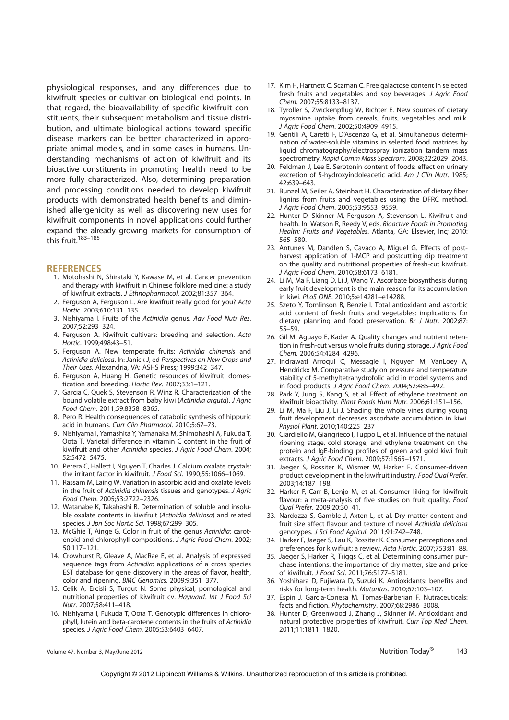physiological responses, and any differences due to kiwifruit species or cultivar on biological end points. In that regard, the bioavailability of specific kiwifruit constituents, their subsequent metabolism and tissue distribution, and ultimate biological actions toward specific disease markers can be better characterized in appropriate animal models, and in some cases in humans. Understanding mechanisms of action of kiwifruit and its bioactive constituents in promoting health need to be more fully characterized. Also, determining preparation and processing conditions needed to develop kiwifruit products with demonstrated health benefits and diminished allergenicity as well as discovering new uses for kiwifruit components in novel applications could further expand the already growing markets for consumption of this fruit. $183-185$ 

#### **REFERENCES**

- 1. Motohashi N, Shirataki Y, Kawase M, et al. Cancer prevention and therapy with kiwifruit in Chinese folklore medicine: a study of kiwifruit extracts. J Ethnopharmacol. 2002;81:357-364.
- 2. Ferguson A, Ferguson L. Are kiwifruit really good for you? Acta Hortic. 2003;610:131-135.
- 3. Nishiyama I. Fruits of the Actinidia genus. Adv Food Nutr Res. 2007;52:293-324.
- 4. Ferguson A. Kiwifruit cultivars: breeding and selection. Acta Hortic. 1999;498:43-51.
- 5. Ferguson A. New temperate fruits: Actinidia chinensis and Actinidia deliciosa. In: Janick J, ed Perspectives on New Crops and Their Uses. Alexandria, VA: ASHS Press; 1999:342-347.
- 6. Ferguson A, Huang H. Genetic resources of kiwifruit: domestication and breeding. Hortic Rev. 2007;33:1-121.
- 7. Garcia C, Quek S, Stevenson R, Winz R. Characterization of the bound volatile extract from baby kiwi (Actinidia arguta). J Agric Food Chem. 2011:59:8358-8365.
- 8. Pero R. Health consequences of catabolic synthesis of hippuric acid in humans. Curr Clin Pharmacol. 2010;5:67-73.
- 9. Nishiyama I, Yamashita Y, Yamanaka M, Shimohashi A, Fukuda T, Oota T. Varietal difference in vitamin C content in the fruit of kiwifruit and other Actinidia species. J Agric Food Chem. 2004; 52:5472-5475.
- 10. Perera C, Hallett I, Nguyen T, Charles J. Calcium oxalate crystals: the irritant factor in kiwifruit. J Food Sci. 1990;55:1066-1069.
- 11. Rassam M, Laing W. Variation in ascorbic acid and oxalate levels in the fruit of Actinidia chinensis tissues and genotypes. J Agric Food Chem. 2005;53:2722-2326.
- 12. Watanabe K, Takahashi B. Determination of soluble and insoluble oxalate contents in kiwifruit (Actinidia deliciosa) and related species. J Jpn Soc Hortic Sci. 1998;67:299-305.
- 13. McGhie T, Ainge G. Color in fruit of the genus Actinidia: carotenoid and chlorophyll compositions. J Agric Food Chem. 2002; 50:117-121.
- 14. Crowhurst R, Gleave A, MacRae E, et al. Analysis of expressed sequence tags from Actinidia: applications of a cross species EST database for gene discovery in the areas of flavor, health, color and ripening. BMC Genomics. 2009;9:351-377.
- 15. Celik A, Ercisli S, Turgut N. Some physical, pomological and nutritional properties of kiwifruit cv. Hayward. Int J Food Sci Nutr. 2007:58:411-418.
- 16. Nishiyama I, Fukuda T, Oota T. Genotypic differences in chlorophyll, lutein and beta-carotene contents in the fruits of Actinidia species. J Agric Food Chem. 2005;53:6403-6407.
- 17. Kim H, Hartnett C, Scaman C. Free galactose content in selected fresh fruits and vegetables and soy beverages. J Agric Food Chem. 2007:55:8133-8137.
- 18. Tyroller S, Zwickenpflug W, Richter E. New sources of dietary myosmine uptake from cereals, fruits, vegetables and milk. J Agric Food Chem. 2002;50:4909-4915.
- 19. Gentili A, Caretti F, D'Ascenzo G, et al. Simultaneous determination of water-soluble vitamins in selected food matrices by liquid chromatography/electrospray ionization tandem mass spectrometry. Rapid Comm Mass Spectrom. 2008;22:2029-2043.
- 20. Feldman J, Lee E. Serotonin content of foods: effect on urinary excretion of 5-hydroxyindoleacetic acid. Am J Clin Nutr. 1985; 42:639-643.
- 21. Bunzel M, Seiler A, Steinhart H. Characterization of dietary fiber lignins from fruits and vegetables using the DFRC method. J Agric Food Chem. 2005:53:9553-9559.
- 22. Hunter D, Skinner M, Ferguson A, Stevenson L. Kiwifruit and health. In: Watson R, Reedy V, eds. Bioactive Foods in Promoting Health: Fruits and Vegetables. Atlanta, GA: Elsevier, Inc; 2010: 565-580.
- 23. Antunes M, Dandlen S, Cavaco A, Miguel G. Effects of postharvest application of 1-MCP and postcutting dip treatment on the quality and nutritional properties of fresh-cut kiwifruit. J Agric Food Chem. 2010;58:6173-6181.
- 24. Li M, Ma F, Liang D, Li J, Wang Y. Ascorbate biosynthesis during early fruit development is the main reason for its accumulation in kiwi. PLoS ONE. 2010;5:e14281-e14288.
- 25. Szeto Y, Tomlinson B, Benzie I. Total antioxidant and ascorbic acid content of fresh fruits and vegetables: implications for dietary planning and food preservation. Br J Nutr. 2002;87:  $55 - 59$
- 26. Gil M, Aguayo E, Kader A. Quality changes and nutrient retention in fresh-cut versus whole fruits during storage. J Agric Food  $Chem. 2006:54:4284-4296$
- 27. Indrawati Arroqui C, Messagie I, Nguyen M, VanLoey A, Hendrickx M. Comparative study on pressure and temperature stability of 5-methyltetrahydrofolic acid in model systems and in food products. J Agric Food Chem. 2004;52:485-492.
- 28. Park Y, Jung S, Kang S, et al. Effect of ethylene treatment on kiwifruit bioactivity. Plant Foods Hum Nutr. 2006;61:151-156.
- 29. Li M, Ma F, Liu J, Li J. Shading the whole vines during young fruit development decreases ascorbate accumulation in kiwi. Physiol Plant. 2010;140:225-237
- 30. Ciardiello M, Giangrieco I, Tuppo L, et al. Influence of the natural ripening stage, cold storage, and ethylene treatment on the protein and IgE-binding profiles of green and gold kiwi fruit extracts. J Agric Food Chem. 2009:57:1565-1571.
- 31. Jaeger S, Rossiter K, Wismer W, Harker F. Consumer-driven product development in the kiwifruit industry. Food Qual Prefer. 2003:14:187-198.
- 32. Harker F, Carr B, Lenjo M, et al. Consumer liking for kiwifruit flavour: a meta-analysis of five studies on fruit quality. Food Qual Prefer. 2009;20:30-41.
- 33. Nardozza S, Gamble J, Axten L, et al. Dry matter content and fruit size affect flavour and texture of novel Actinidia deliciosa genotypes. J Sci Food Agricul. 2011;91:742-748.
- 34. Harker F, Jaeger S, Lau K, Rossiter K. Consumer perceptions and preferences for kiwifruit: a review. Acta Hortic. 2007;753:81-88.
- 35. Jaeger S, Harker R, Triggs C, et al. Determining consumer purchase intentions: the importance of dry matter, size and price of kiwifruit. J Food Sci. 2011;76:S177-S181.
- 36. Yoshihara D, Fujiwara D, Suzuki K. Antioxidants: benefits and risks for long-term health. Maturitas. 2010;67:103-107.
- 37. Espin J, Garcia-Conesa M, Tomas-Barberian F. Nutraceuticals: facts and fiction. Phytochemistry. 2007;68:2986-3008.
- 38. Hunter D, Greenwood J, Zhang J, Skinner M. Antioxidant and natural protective properties of kiwifruit. Curr Top Med Chem. 2011;11:1811-1820.

Volume 47, Number 3, May/June 2012 Nutrition Today<sup>®</sup>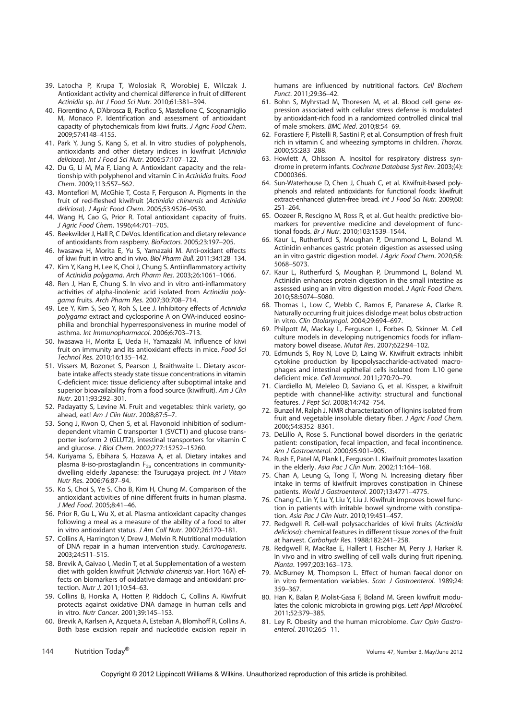- 39. Latocha P, Krupa T, Wolosiak R, Worobiej E, Wilczak J. Antioxidant activity and chemical difference in fruit of different Actinidia sp. Int J Food Sci Nutr. 2010;61:381-394.
- 40. Fiorentino A, D'Abrosca B, Pacifico S, Mastellone C, Scognamiglio M, Monaco P. Identification and assessment of antioxidant capacity of phytochemicals from kiwi fruits. J Agric Food Chem. 2009:57:4148-4155.
- 41. Park Y, Jung S, Kang S, et al. In vitro studies of polyphenols, antioxidants and other dietary indices in kiwifruit (Actinidia deliciosa). Int J Food Sci Nutr. 2006;57:107-122.
- 42. Du G, Li M, Ma F, Liang A. Antioxidant capacity and the relationship with polyphenol and vitamin C in Actinidia fruits. Food Chem. 2009;113:557-562.
- 43. Montefiori M, McGhie T, Costa F, Ferguson A. Pigments in the fruit of red-fleshed kiwifruit (Actinidia chinensis and Actinidia deliciosa). J Agric Food Chem. 2005;53:9526-9530.
- 44. Wang H, Cao G, Prior R. Total antioxidant capacity of fruits. J Agric Food Chem. 1996;44:701-705.
- 45. Beekwilder J, Hall R, C DeVos. Identification and dietary relevance of antioxidants from raspberry. BioFactors. 2005;23:197-205.
- 46. Iwasawa H, Morita E, Yu S, Yamazaki M. Anti-oxidant effects of kiwi fruit in vitro and in vivo. Biol Pharm Bull. 2011;34:128-134.
- 47. Kim Y, Kang H, Lee K, Choi J, Chung S. Antiinflammatory activity of Actinidia polygama. Arch Pharm Res. 2003;26:1061-1066.
- 48. Ren J, Han E, Chung S. In vivo and in vitro anti-inflammatory activities of alpha-linolenic acid isolated from Actinidia polygama fruits. Arch Pharm Res. 2007;30:708-714.
- 49. Lee Y, Kim S, Seo Y, Roh S, Lee J. Inhibitory effects of Actinidia polygama extract and cyclosporine A on OVA-induced eosinophilia and bronchial hyperresponsiveness in murine model of asthma. Int Immunopharmacol. 2006;6:703-713.
- 50. Iwasawa H, Morita E, Ueda H, Yamazaki M. Influence of kiwi fruit on immunity and its antioxidant effects in mice. Food Sci Technol Res. 2010;16:135-142.
- 51. Vissers M, Bozonet S, Pearson J, Braithwaite L. Dietary ascorbate intake affects steady state tissue concentrations in vitamin C-deficient mice: tissue deficiency after suboptimal intake and superior bioavailability from a food source (kiwifruit). Am J Clin Nutr. 2011;93:292-301.
- 52. Padayatty S, Levine M. Fruit and vegetables: think variety, go ahead, eat!  $Am J$  Clin Nutr. 2008;87:5-7.
- 53. Song J, Kwon O, Chen S, et al. Flavonoid inhibition of sodiumdependent vitamin C transporter 1 (SVCT1) and glucose transporter isoform 2 (GLUT2), intestinal transporters for vitamin C and glucose. J Biol Chem. 2002;277:15252-15260.
- 54. Kuriyama S, Ebihara S, Hozawa A, et al. Dietary intakes and plasma 8-iso-prostaglandin  $F_{2a}$  concentrations in communitydwelling elderly Japanese: the Tsurugaya project. Int J Vitam Nutr Res. 2006:76:87-94.
- 55. Ko S, Choi S, Ye S, Cho B, Kim H, Chung M. Comparison of the antioxidant activities of nine different fruits in human plasma. J Med Food. 2005;8:41-46.
- 56. Prior R, Gu L, Wu X, et al. Plasma antioxidant capacity changes following a meal as a measure of the ability of a food to alter in vitro antioxidant status. J Am Coll Nutr. 2007;26:170-181.
- 57. Collins A, Harrington V, Drew J, Melvin R. Nutritional modulation of DNA repair in a human intervention study. Carcinogenesis. 2003:24:511-515.
- 58. Brevik A, Gaivao I, Medin T, et al. Supplementation of a western diet with golden kiwifruit (Actinidia chinensis var. Hort 16A) effects on biomarkers of oxidative damage and antioxidant protection. Nutr J. 2011;10:54-63.
- 59. Collins B, Horska A, Hotten P, Riddoch C, Collins A. Kiwifruit protects against oxidative DNA damage in human cells and in vitro. Nutr Cancer. 2001;39:145-153.
- 60. Brevik A, Karlsen A, Azqueta A, Esteban A, Blomhoff R, Collins A. Both base excision repair and nucleotide excision repair in

humans are influenced by nutritional factors. Cell Biochem Funct. 2011;29:36-42.

- 61. Bohn S, Myhrstad M, Thoresen M, et al. Blood cell gene expression associated with cellular stress defense is modulated by antioxidant-rich food in a randomized controlled clinical trial of male smokers. BMC Med. 2010;8:54-69.
- 62. Forastiere F, Pistelli R, Sastini P, et al. Consumption of fresh fruit rich in vitamin C and wheezing symptoms in children. Thorax. 2000:55:283-288.
- 63. Howlett A, Ohlsson A. Inositol for respiratory distress syndrome in preterm infants. Cochrane Database Syst Rev. 2003;(4): CD000366.
- 64. Sun-Waterhouse D, Chen J, Chuah C, et al. Kiwifruit-based polyphenols and related antioxidants for functional foods: kiwifruit extract-enhanced gluten-free bread. Int J Food Sci Nutr. 2009;60:  $251 - 264$
- 65. Oozeer R, Rescigno M, Ross R, et al. Gut health: predictive biomarkers for preventive medicine and development of functional foods. Br J Nutr. 2010;103:1539-1544.
- 66. Kaur L, Rutherfurd S, Moughan P, Drummond L, Boland M. Actinidin enhances gastric protein digestion as assessed using an in vitro gastric digestion model. J Agric Food Chem. 2020;58: 5068-5073.
- 67. Kaur L, Rutherfurd S, Moughan P, Drummond L, Boland M. Actinidin enhances protein digestion in the small intestine as assessed using an in vitro digestion model. J Agric Food Chem. 2010;58:5074-5080.
- 68. Thomas L, Low C, Webb C, Ramos E, Panarese A, Clarke R. Naturally occurring fruit juices dislodge meat bolus obstruction in vitro. Clin Otolaryngol. 2004;29:694-697.
- 69. Philpott M, Mackay L, Ferguson L, Forbes D, Skinner M. Cell culture models in developing nutrigenomics foods for inflammatory bowel disease. Mutat Res. 2007;622:94-102.
- 70. Edmunds S, Roy N, Love D, Laing W. Kiwifruit extracts inhibit cytokine production by lipopolysaccharide-activated macrophages and intestinal epithelial cells isolated from IL10 gene deficient mice. Cell Immunol. 2011;270:70-79.
- 71. Ciardiello M, Meleleo D, Saviano G, et al. Kissper, a kiwifruit peptide with channel-like activity: structural and functional features. J Pept Sci. 2008;14:742-754.
- 72. Bunzel M, Ralph J. NMR characterization of lignins isolated from fruit and vegetable insoluble dietary fiber. J Agric Food Chem. 2006;54:8352-8361.
- 73. DeLillo A, Rose S. Functional bowel disorders in the geriatric patient: constipation, fecal impaction, and fecal incontinence. Am J Gastroenterol. 2000;95:901-905.
- 74. Rush E, Patel M, Plank L, Ferguson L. Kiwifruit promotes laxation in the elderly. Asia Pac J Clin Nutr. 2002;11:164-168.
- 75. Chan A, Leung G, Tong T, Wong N. Increasing dietary fiber intake in terms of kiwifruit improves constipation in Chinese patients. World J Gastroenterol. 2007;13:4771-4775.
- 76. Chang C, Lin Y, Lu Y, Liu Y, Liu J. Kiwifruit improves bowel function in patients with irritable bowel syndrome with constipation. Asia Pac J Clin Nutr. 2010;19:451-457.
- 77. Redgwell R. Cell-wall polysaccharides of kiwi fruits (Actinidia deliciosa): chemical features in different tissue zones of the fruit at harvest. Carbohydr Res. 1988:182:241-258.
- 78. Redgwell R, MacRae E, Hallert I, Fischer M, Perry J, Harker R. In vivo and in vitro swelling of cell walls during fruit ripening. Planta. 1997:203:163-173.
- 79. McBurney M, Thompson L. Effect of human faecal donor on in vitro fermentation variables. Scan J Gastroenterol. 1989;24: 359-367
- 80. Han K, Balan P, Molist-Gasa F, Boland M. Green kiwifruit modulates the colonic microbiota in growing pigs. Lett Appl Microbiol. 2011;52:379-385.
- 81. Ley R. Obesity and the human microbiome. Curr Opin Gastroenterol. 2010;26:5-11.

144 Nutrition Today<sup>®</sup>

Volume 47, Number 3, May/June 2012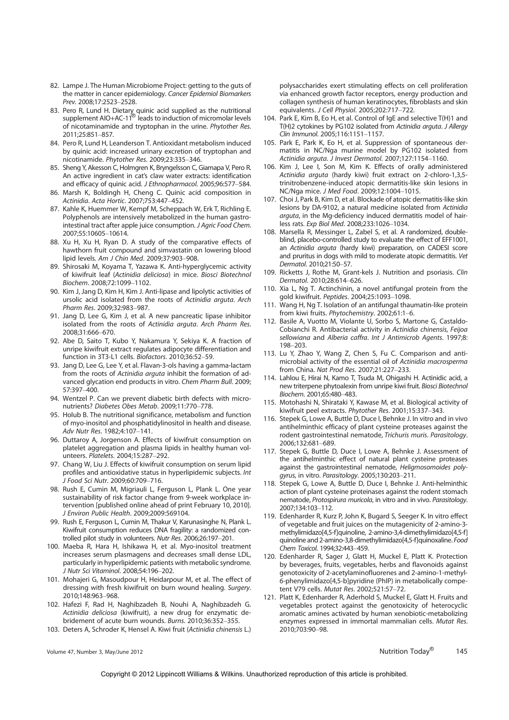- 82. Lampe J. The Human Microbiome Project: getting to the guts of the matter in cancer epidemiology. Cancer Epidemiol Biomarkers Prev. 2008:17:2523-2528.
- 83. Pero R, Lund H. Dietary quinic acid supplied as the nutritional supplement AIO+AC-11<sup>®</sup> leads to induction of micromolar levels of nicotaminamide and tryptophan in the urine. Phytother Res. 2011:25:851-857.
- 84. Pero R, Lund H, Leanderson T. Antioxidant metabolism induced by quinic acid: increased urinary excretion of tryptophan and nicotinamide. Phytother Res. 2009;23:335-346.
- 85. Sheng Y, Akesson C, Holmgren K, Bryngelsson C, Giamapa V, Pero R. An active ingredient in cat's claw water extracts: identification and efficacy of quinic acid. J Ethnopharmacol. 2005;96:577-584.
- 86. Marsh K, Boldingh H, Cheng C. Quinic acid composition in Actinidia. Acta Hortic. 2007;753:447-452.
- 87. Kahle K, Huemmer W, Kempf M, Scheppach W, Erk T, Richling E. Polyphenols are intensively metabolized in the human gastrointestinal tract after apple juice consumption. J Agric Food Chem. 2007:55:10605-10614.
- 88. Xu H, Xu H, Ryan D. A study of the comparative effects of hawthorn fruit compound and simvastatin on lowering blood lipid levels. Am J Chin Med. 2009;37:903-908.
- 89. Shirosaki M, Koyama T, Yazawa K. Anti-hyperglycemic activity of kiwifruit leaf (Actinidia deliciosa) in mice. Biosci Biotechnol Biochem. 2008;72:1099-1102.
- 90. Kim J, Jang D, Kim H, Kim J. Anti-lipase and lipolytic activities of ursolic acid isolated from the roots of Actinidia arguta. Arch Pharm Res. 2009:32:983-987.
- 91. Jang D, Lee G, Kim J, et al. A new pancreatic lipase inhibitor isolated from the roots of Actinidia arguta. Arch Pharm Res. 2008;31:666-670.
- 92. Abe D, Saito T, Kubo Y, Nakamura Y, Sekiya K. A fraction of unripe kiwifruit extract regulates adipocyte differentiation and function in 3T3-L1 cells. Biofactors. 2010;36:52-59.
- 93. Jang D, Lee G, Lee Y, et al. Flavan-3-ols having a gamma-lactam from the roots of Actinidia arguta inhibit the formation of advanced glycation end products in vitro. Chem Pharm Bull. 2009; 57:397-400.
- 94. Wentzel P. Can we prevent diabetic birth defects with micronutrients? Diabetes Obes Metab. 2009:11:770-778.
- 95. Holub B. The nutritional significance, metabolism and function of myo-inositol and phosphatidylinositol in health and disease. Adv Nutr Res. 1982;4:107-141.
- 96. Duttaroy A, Jorgenson A. Effects of kiwifruit consumption on platelet aggregation and plasma lipids in healthy human volunteers. Platelets. 2004;15:287-292.
- 97. Chang W, Liu J. Effects of kiwifruit consumption on serum lipid profiles and antioxidative status in hyperlipidemic subjects. Int J Food Sci Nutr. 2009:60:709-716.
- 98. Rush E, Cumin M, Migriauli L, Ferguson L, Plank L. One year sustainability of risk factor change from 9-week workplace intervention [published online ahead of print February 10, 2010]. J Environ Public Health. 2009;2009:569104.
- 99. Rush E, Ferguson L, Cumin M, Thakur V, Karunasinghe N, Plank L. Kiwifruit consumption reduces DNA fragility: a randomized controlled pilot study in volunteers. Nutr Res. 2006;26:197-201.
- 100. Maeba R, Hara H, Ishikawa H, et al. Myo-inositol treatment increases serum plasmagens and decreases small dense LDL, particularly in hyperlipidemic patients with metabolic syndrome. J Nutr Sci Vitaminol. 2008;54:196-202.
- 101. Mohajeri G, Masoudpour H, Heidarpour M, et al. The effect of dressing with fresh kiwifruit on burn wound healing. Surgery. 2010:148:963-968.
- 102. Hafezi F, Rad H, Naghibzadeh B, Nouhi A, Naghibzadeh G. Actinidia deliciosa (kiwifruit), a new drug for enzymatic debridement of acute burn wounds. Burns. 2010;36:352-355.
- 103. Deters A, Schroder K, Hensel A. Kiwi fruit (Actinidia chinensis L.)

polysaccharides exert stimulating effects on cell proliferation via enhanced growth factor receptors, energy production and collagen synthesis of human keratinocytes, fibroblasts and skin equivalents. J Cell Physiol. 2005;202:717-722.

- 104. Park E, Kim B, Eo H, et al. Control of IgE and selective T(H)1 and T(H)2 cytokines by PG102 isolated from Actinidia arguta. J Allergy Clin Immunol. 2005;116:1151-1157.
- 105. Park E, Park K, Eo H, et al. Suppression of spontaneous dermatitis in NC/Nga murine model by PG102 isolated from Actinidia arguta. J Invest Dermatol. 2007;127:1154-1160.
- 106. Kim J, Lee I, Son M, Kim K. Effects of orally administered Actinidia arguta (hardy kiwi) fruit extract on 2-chloro-1,3,5 trinitrobenzene-induced atopic dermatitis-like skin lesions in NC/Nga mice. J Med Food. 2009;12:1004-1015.
- 107. Choi J, Park B, Kim D, et al. Blockade of atopic dermatitis-like skin lesions by DA-9102, a natural medicine isolated from Actinidia arguta, in the Mg-deficiency induced dermatitis model of hairless rats. Exp Biol Med. 2008;233:1026-1034.
- 108. Marsella R, Messinger L, Zabel S, et al. A randomized, doubleblind, placebo-controlled study to evaluate the effect of EFF1001, an Actinidia arguta (hardy kiwi) preparation, on CADESI score and pruritus in dogs with mild to moderate atopic dermatitis. Vet Dermatol. 2010:21:50-57.
- 109. Ricketts J, Rothe M, Grant-kels J. Nutrition and psoriasis. Clin Dermatol. 2010;28:614-626.
- 110. Xia L, Ng T. Actinchinin, a novel antifungal protein from the gold kiwifruit. Peptides. 2004;25:1093-1098.
- Wang H, Ng T. Isolation of an antifungal thaumatin-like protein from kiwi fruits. Phytochemistry. 2002;61:1-6.
- 112. Basile A, Vuotto M, Violante U, Sorbo S, Martone G, Castaldo-Cobianchi R. Antibacterial activity in Actinidia chinensis, Feijoa sellowiana and Alberia caffra. Int J Antimicrob Agents. 1997;8: 198-203.
- 113. Lu Y, Zhao Y, Wang Z, Chen S, Fu C. Comparison and antimicrobial activity of the essential oil of Actinidia macrosperma from China. Nat Prod Res. 2007;21:227-233.
- 114. Lahlou E, Hirai N, Kamo T, Tsuda M, Ohigashi H. Actinidic acid, a new triterpene phytoalexin from unripe kiwi fruit. Biosci Biotechnol Biochem. 2001:65:480-483.
- 115. Motohashi N, Shirataki Y, Kawase M, et al. Biological activity of kiwifruit peel extracts. Phytother Res. 2001;15:337-343.
- 116. Stepek G, Lowe A, Buttle D, Duce I, Behnke J. In vitro and in vivo antihelminthic efficacy of plant cysteine proteases against the rodent gastrointestinal nematode, Trichuris muris. Parasitology. 2006;132:681-689.
- 117. Stepek G, Buttle D, Duce I, Lowe A, Behnke J. Assessment of the antihelminthic effect of natural plant cysteine proteases against the gastrointestinal nematode, Heligmosomoides polygyrus, in vitro. Parasitology. 2005;130:203-211.
- 118. Stepek G, Lowe A, Buttle D, Duce I, Behnke J. Anti-helminthic action of plant cysteine proteinases against the rodent stomach nematode, Protospirura muricola, in vitro and in vivo. Parasitology. 2007;134:103-112.
- 119. Edenharder R, Kurz P, John K, Bugard S, Seeger K. In vitro effect of vegetable and fruit juices on the mutagenicity of 2-amino-3 methylimidazo[4,5-f]quinoline, 2-amino-3,4-dimethylimidazo[4,5-f] quinoline and 2-amino-3,8-dimethylimidazo[4,5-f]quinoxaline. Food Chem Toxicol. 1994;32:443-459.
- 120. Edenharder R, Sager J, Glatt H, Muckel E, Platt K. Protection by beverages, fruits, vegetables, herbs and flavonoids against genotoxicity of 2-acetylaminofluorenes and 2-amino-1-methyl-6-phenylimidazo[4,5-b]pyridine (PhIP) in metabolically competent V79 cells. Mutat Res. 2002;521:57-72.
- 121. Platt K, Edenharder R, Aderhold S, Muckel E, Glatt H. Fruits and vegetables protect against the genotoxicity of heterocyclic aromatic amines activated by human xenobiotic-metabolizing enzymes expressed in immortal mammalian cells. Mutat Res. 2010;703:90-98.

Volume 47, Number 3, May/June 2012 Nutrition Today<sup>®</sup>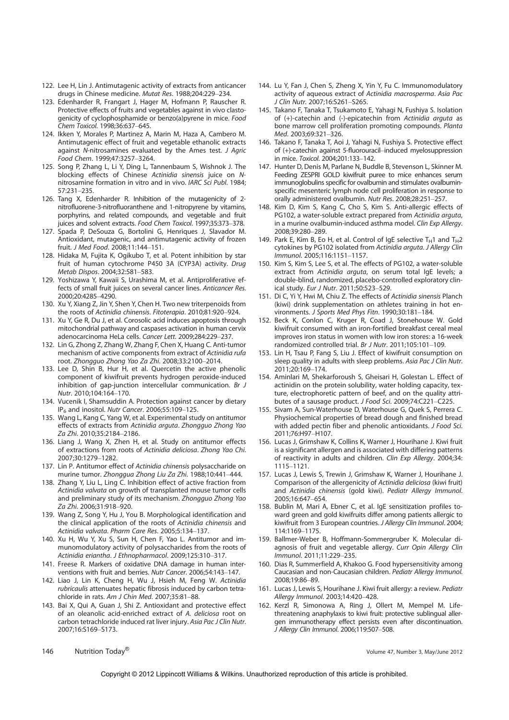- 122. Lee H, Lin J. Antimutagenic activity of extracts from anticancer drugs in Chinese medicine. Mutat Res. 1988;204:229-234.
- 123. Edenharder R, Frangart J, Hager M, Hofmann P, Rauscher R. Protective effects of fruits and vegetables against in vivo clastogenicity of cyclophosphamide or benzo(a)pyrene in mice. Food Chem Toxicol. 1998;36:637-645.
- 124. Ikken Y, Morales P, Martinez A, Marin M, Haza A, Cambero M. Antimutagenic effect of fruit and vegetable ethanolic extracts against N-nitrosamines evaluated by the Ames test. J Agric Food Chem. 1999;47:3257-3264.
- 125. Song P, Zhang L, Li Y, Ding L, Tannenbaum S, Wishnok J. The blocking effects of Chinese Actinidia sinensis juice on Nnitrosamine formation in vitro and in vivo. IARC Sci Publ. 1984; 57:231-235.
- 126. Tang X, Edenharder R. Inhibition of the mutagenicity of 2 nitrofluorene-3-nitrofluoranthene and 1-nitropyrene by vitamins, porphyrins, and related compounds, and vegetable and fruit juices and solvent extracts. Food Chem Toxicol. 1997;35:373-378.
- 127. Spada P, DeSouza G, Bortolini G, Henriques J, Slavador M. Antioxidant, mutagenic, and antimutagenic activity of frozen fruit. J Med Food. 2008;11:144-151.
- 128. Hidaka M, Fujita K, Ogikubo T, et al. Potent inhibition by star fruit of human cytochrome P450 3A (CYP3A) activity. Drug Metab Dispos. 2004:32:581-583.
- 129. Yoshizawa Y, Kawaii S, Urashima M, et al. Antiproliferative effects of small fruit juices on several cancer lines. Anticancer Res. 2000:20:4285-4290.
- 130. Xu Y, Xiang Z, Jin Y, Shen Y, Chen H. Two new triterpenoids from the roots of Actinidia chinensis. Fitoterapia. 2010:81:920-924.
- 131. Xu Y, Ge R, Du J, et al. Corosolic acid induces apoptosis through mitochondrial pathway and caspases activation in human cervix adenocarcinoma HeLa cells. Cancer Lett. 2009:284:229-237.
- 132. Lin G, Zhong Z, Zhang W, Zhang F, Chen X, Huang C. Anti-tumor mechanism of active components from extract of Actinidia rufa root. Zhongguo Zhong Yao Za Zhi. 2008;33:2100-2014.
- 133. Lee D, Shin B, Hur H, et al. Quercetin the active phenolic component of kiwifruit prevents hydrogen peroxide-induced inhibition of gap-junction intercellular communication. Br J Nutr. 2010;104:164-170.
- 134. Vucenik I, Shamsuddin A. Protection against cancer by dietary  $IP<sub>6</sub>$  and inositol. Nutr Cancer. 2006;55:109-125.
- 135. Wang L, Kang C, Yang W, et al. Experimental study on antitumor effects of extracts from Actinidia arguta. Zhongguo Zhong Yao Za Zhi. 2010;35:2184-2186.
- 136. Liang J, Wang X, Zhen H, et al. Study on antitumor effects of extractions from roots of Actinidia deliciosa. Zhong Yao Chi. 2007;30:1279-1282.
- 137. Lin P. Antitumor effect of Actinidia chinensis polysaccharide on murine tumor. Zhonggua Zhong Liu Za Zhi. 1988;10:441-444.
- 138. Zhang Y, Liu L, Ling C. Inhibition effect of active fraction from Actinidia valvata on growth of transplanted mouse tumor cells and preliminary study of its mechanism. Zhongguo Zhong Yao Za Zhi. 2006;31:918-920.
- 139. Wang Z, Song Y, Hu J, You B. Morphological identification and the clinical application of the roots of Actinidia chinensis and Actinidia valvata. Pharm Care Res. 2005;5:134-137.
- 140. Xu H, Wu Y, Xu S, Sun H, Chen F, Yao L. Antitumor and immunomodulatory activity of polysaccharides from the roots of Actinidia eriantha. J Ethnopharmacol. 2009;125:310-317.
- 141. Freese R. Markers of oxidative DNA damage in human interventions with fruit and berries. Nutr Cancer. 2006;54:143-147.
- 142. Liao J, Lin K, Cheng H, Wu J, Hsieh M, Feng W. Actinidia rubricaulis attenuates hepatic fibrosis induced by carbon tetrachloride in rats. Am J Chin Med. 2007;35:81-88.
- 143. Bai X, Qui A, Guan J, Shi Z. Antioxidant and protective effect of an oleanolic acid-enriched extract of A. deliciosa root on carbon tetrachloride induced rat liver injury. Asia Pac J Clin Nutr. 2007;16:S169-S173.
- 144. Lu Y, Fan J, Chen S, Zheng X, Yin Y, Fu C. Immunomodulatory activity of aqueous extract of Actinidia macrosperma. Asia Pac J Clin Nutr. 2007;16:S261-S265.
- 145. Takano F, Tanaka T, Tsukamoto E, Yahagi N, Fushiya S. Isolation of (+)-catechin and (-)-epicatechin from Actinidia arauta as bone marrow cell proliferation promoting compounds. Planta Med. 2003;69:321-326.
- 146. Takano F, Tanaka T, Aoi J, Yahagi N, Fushiya S. Protective effect of (+)-catechin against 5-fluorouracil-induced myelosuppression in mice. Toxicol. 2004;201:133-142.
- 147. Hunter D, Denis M, Parlane N, Buddle B, Stevenson L, Skinner M. Feeding ZESPRI GOLD kiwifruit puree to mice enhances serum immunoglobulins specific for ovalbumin and stimulates ovalbuminspecific mesenteric lymph node cell proliferation in response to orally administered ovalbumin. Nutr Res. 2008;28:251-257.
- 148. Kim D, Kim S, Kang C, Cho S, Kim S. Anti-allergic effects of PG102, a water-soluble extract prepared from Actinidia arguta, in a murine ovalbumin-induced asthma model. Clin Exp Allergy. 2008:39:280-289.
- 149. Park E, Kim B, Eo H, et al. Control of IgE selective  $T_H1$  and  $T_H2$ cytokines by PG102 isolated from Actinidia arguta. J Allergy Clin Immunol. 2005;116:1151-1157.
- 150. Kim S, Kim S, Lee S, et al. The effects of PG102, a water-soluble extract from Actinidia arguta, on serum total IgE levels; a double-blind, randomized, placebo-controlled exploratory clinical study. Eur J Nutr. 2011;50:523-529.
- 151. Di C, Yi Y, Hwi M, Chiu Z. The effects of Actinidia sinensis Planch (kiwi) drink supplementation on athletes training in hot environments. J Sports Med Phys Fitn. 1990;30:181-184.
- 152. Beck K, Conlon C, Kruger R, Coad J, Stonehouse W. Gold kiwifruit consumed with an iron-fortified breakfast cereal meal improves iron status in women with low iron stores: a 16-week randomized controlled trial. Br J Nutr. 2011;105:101-109.
- 153. Lin H, Tsau P, Fang S, Liu J. Effect of kiwifruit consumption on sleep quality in adults with sleep problems. Asia Pac J Clin Nutr. 2011;20:169-174.
- 154. Aminlari M, Shekarforoush S, Gheisari H, Golestan L. Effect of actinidin on the protein solubility, water holding capacity, texture, electrophoretic pattern of beef, and on the quality attributes of a sausage product. J Food Sci. 2009;74:C221-C225.
- 155. Sivam A, Sun-Waterhouse D, Waterhouse G, Quek S, Perrera C. Physiochemical properties of bread dough and finished bread with added pectin fiber and phenolic antioxidants. J Food Sci. 2011;76:H97-H107.
- 156. Lucas J, Grimshaw K, Collins K, Warner J, Hourihane J. Kiwi fruit is a significant allergen and is associated with differing patterns of reactivity in adults and children. Clin Exp Allergy. 2004;34: 1115-1121.
- 157. Lucas J, Lewis S, Trewin J, Grimshaw K, Warner J, Hourihane J. Comparison of the allergenicity of Actinidia deliciosa (kiwi fruit) and Actinidia chinensis (gold kiwi). Pediatr Allergy Immunol. 2005;16:647-654.
- 158. Bublin M, Mari A, Ebner C, et al. IgE sensitization profiles toward green and gold kiwifruits differ among patients allergic to kiwifruit from 3 European countries. J Allergy Clin Immunol. 2004; 114:1169-1175
- 159. Ballmer-Weber B, Hoffmann-Sommergruber K. Molecular diagnosis of fruit and vegetable allergy. Curr Opin Allergy Clin Immunol. 2011;11:229-235.
- 160. Dias R, Summerfield A, Khakoo G. Food hypersensitivity among Caucasian and non-Caucasian children. Pediatr Allergy Immunol. 2008:19:86-89
- 161. Lucas J, Lewis S, Hourihane J. Kiwi fruit allergy: a review. Pediatr Allergy Immunol. 2003;14:420-428.
- 162. Kerzl R, Simonowa A, Ring J, Ollert M, Mempel M. Lifethreatening anaphylaxis to kiwi fruit: protective sublingual allergen immunotherapy effect persists even after discontinuation. J Allergy Clin Immunol. 2006;119:507-508.

146 Nutrition Today<sup>®</sup>

Volume 47, Number 3, May/June 2012